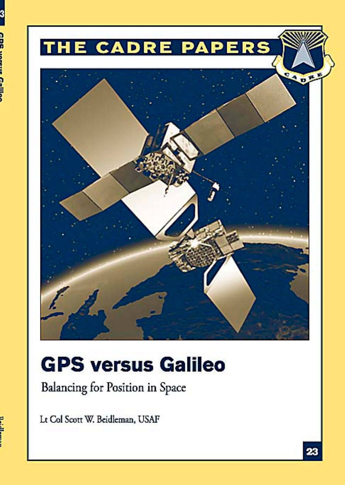

# **GPS versus Galileo**

**Balancing for Position in Space** 

Lt Col Scott W. Beidleman, USAF

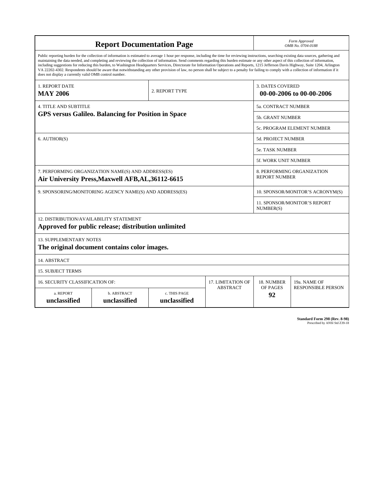| <b>Report Documentation Page</b>                                                                                                                                                                                                                                                                                                                                                                                                                                                                                                                                                                                                                                                                                                                                                                                                                                   |                             |                              | Form Approved<br>OMB No. 0704-0188 |                                                     |                            |
|--------------------------------------------------------------------------------------------------------------------------------------------------------------------------------------------------------------------------------------------------------------------------------------------------------------------------------------------------------------------------------------------------------------------------------------------------------------------------------------------------------------------------------------------------------------------------------------------------------------------------------------------------------------------------------------------------------------------------------------------------------------------------------------------------------------------------------------------------------------------|-----------------------------|------------------------------|------------------------------------|-----------------------------------------------------|----------------------------|
| Public reporting burden for the collection of information is estimated to average 1 hour per response, including the time for reviewing instructions, searching existing data sources, gathering and<br>maintaining the data needed, and completing and reviewing the collection of information. Send comments regarding this burden estimate or any other aspect of this collection of information,<br>including suggestions for reducing this burden, to Washington Headquarters Services, Directorate for Information Operations and Reports, 1215 Jefferson Davis Highway, Suite 1204, Arlington<br>VA 22202-4302. Respondents should be aware that notwithstanding any other provision of law, no person shall be subject to a penalty for failing to comply with a collection of information if it<br>does not display a currently valid OMB control number. |                             |                              |                                    |                                                     |                            |
| <b>1. REPORT DATE</b><br><b>MAY 2006</b>                                                                                                                                                                                                                                                                                                                                                                                                                                                                                                                                                                                                                                                                                                                                                                                                                           |                             | 2. REPORT TYPE               |                                    | <b>3. DATES COVERED</b><br>00-00-2006 to 00-00-2006 |                            |
| <b>4. TITLE AND SUBTITLE</b>                                                                                                                                                                                                                                                                                                                                                                                                                                                                                                                                                                                                                                                                                                                                                                                                                                       |                             |                              | <b>5a. CONTRACT NUMBER</b>         |                                                     |                            |
| <b>GPS versus Galileo. Balancing for Position in Space</b>                                                                                                                                                                                                                                                                                                                                                                                                                                                                                                                                                                                                                                                                                                                                                                                                         |                             |                              | <b>5b. GRANT NUMBER</b>            |                                                     |                            |
|                                                                                                                                                                                                                                                                                                                                                                                                                                                                                                                                                                                                                                                                                                                                                                                                                                                                    |                             |                              |                                    |                                                     | 5c. PROGRAM ELEMENT NUMBER |
| 6. AUTHOR(S)                                                                                                                                                                                                                                                                                                                                                                                                                                                                                                                                                                                                                                                                                                                                                                                                                                                       |                             |                              | <b>5d. PROJECT NUMBER</b>          |                                                     |                            |
|                                                                                                                                                                                                                                                                                                                                                                                                                                                                                                                                                                                                                                                                                                                                                                                                                                                                    |                             |                              | <b>5e. TASK NUMBER</b>             |                                                     |                            |
|                                                                                                                                                                                                                                                                                                                                                                                                                                                                                                                                                                                                                                                                                                                                                                                                                                                                    |                             |                              |                                    | 5f. WORK UNIT NUMBER                                |                            |
| 7. PERFORMING ORGANIZATION NAME(S) AND ADDRESS(ES)<br>Air University Press, Maxwell AFB, AL, 36112-6615                                                                                                                                                                                                                                                                                                                                                                                                                                                                                                                                                                                                                                                                                                                                                            |                             |                              |                                    | 8. PERFORMING ORGANIZATION<br><b>REPORT NUMBER</b>  |                            |
| 9. SPONSORING/MONITORING AGENCY NAME(S) AND ADDRESS(ES)<br>10. SPONSOR/MONITOR'S ACRONYM(S)                                                                                                                                                                                                                                                                                                                                                                                                                                                                                                                                                                                                                                                                                                                                                                        |                             |                              |                                    |                                                     |                            |
|                                                                                                                                                                                                                                                                                                                                                                                                                                                                                                                                                                                                                                                                                                                                                                                                                                                                    |                             |                              |                                    | 11. SPONSOR/MONITOR'S REPORT<br>NUMBER(S)           |                            |
| 12. DISTRIBUTION/AVAILABILITY STATEMENT<br>Approved for public release; distribution unlimited                                                                                                                                                                                                                                                                                                                                                                                                                                                                                                                                                                                                                                                                                                                                                                     |                             |                              |                                    |                                                     |                            |
| <b>13. SUPPLEMENTARY NOTES</b><br>The original document contains color images.                                                                                                                                                                                                                                                                                                                                                                                                                                                                                                                                                                                                                                                                                                                                                                                     |                             |                              |                                    |                                                     |                            |
| 14. ABSTRACT                                                                                                                                                                                                                                                                                                                                                                                                                                                                                                                                                                                                                                                                                                                                                                                                                                                       |                             |                              |                                    |                                                     |                            |
| <b>15. SUBJECT TERMS</b>                                                                                                                                                                                                                                                                                                                                                                                                                                                                                                                                                                                                                                                                                                                                                                                                                                           |                             |                              |                                    |                                                     |                            |
| 16. SECURITY CLASSIFICATION OF:                                                                                                                                                                                                                                                                                                                                                                                                                                                                                                                                                                                                                                                                                                                                                                                                                                    |                             |                              | 17. LIMITATION OF                  | 18. NUMBER                                          | 19a. NAME OF               |
| a. REPORT<br>unclassified                                                                                                                                                                                                                                                                                                                                                                                                                                                                                                                                                                                                                                                                                                                                                                                                                                          | b. ABSTRACT<br>unclassified | c. THIS PAGE<br>unclassified | <b>ABSTRACT</b>                    | OF PAGES<br>92                                      | <b>RESPONSIBLE PERSON</b>  |

**Standard Form 298 (Rev. 8-98)**<br>Prescribed by ANSI Std Z39-18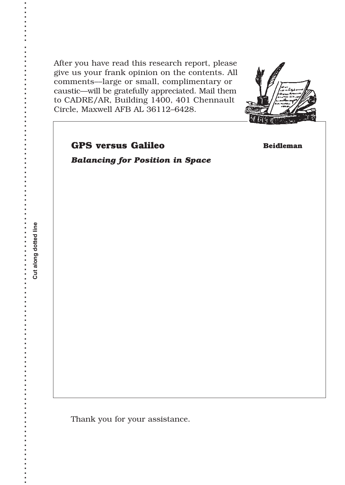After you have read this research report, please give us your frank opinion on the contents. All comments––large or small, complimentary or caustic––will be gratefully appreciated. Mail them to CADRE/AR, Building 1400, 401 Chennault Circle, Maxwell AFB AL 36112–6428.





Thank you for your assistance.

Cut along dotted line **Cut along dotted line**

**. . . . . . . . . . . . . . . . . . . . . . . . . . . . . . . . . . . . . . . . . . . . . . . . . . . . . . . . . . . . . . . . . . . . . . . . . . . . . . . . . . . . . . . . . . . . . . . . . . . . . . .**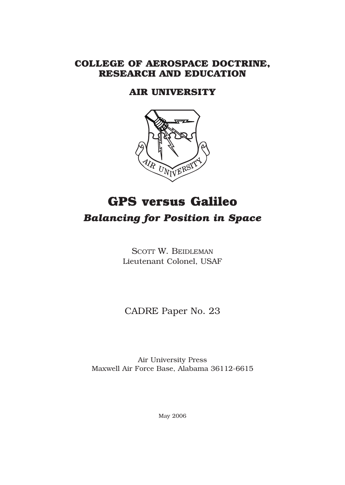## **COLLEGE OF AEROSPACE DOCTRINE, RESEARCH AND EDUCATION**

## **AIR UNIVERSITY**



## **GPS versus Galileo** *Balancing for Position in Space*

SCOTT W. BEIDLEMAN Lieutenant Colonel, USAF

CADRE Paper No. 23

Air University Press Maxwell Air Force Base, Alabama 36112-6615

May 2006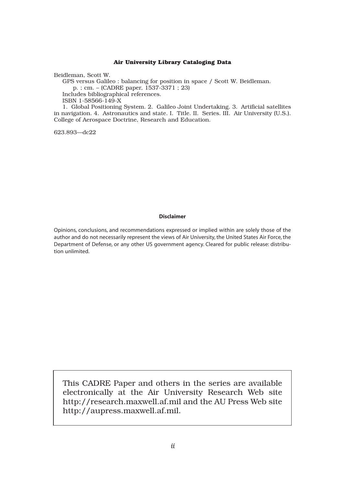#### **Air University Library Cataloging Data**

Beidleman, Scott W.

GPS versus Galileo : balancing for position in space / Scott W. Beidleman.

p. ; cm. – (CADRE paper, 1537-3371 ; 23)

Includes bibliographical references.

ISBN 1-58566-149-X

1. Global Positioning System. 2. Galileo Joint Undertaking. 3. Artificial satellites in navigation. 4. Astronautics and state. I. Title. II. Series. III. Air University (U.S.). College of Aerospace Doctrine, Research and Education.

623.893––dc22

#### **Disclaimer**

Opinions, conclusions, and recommendations expressed or implied within are solely those of the author and do not necessarily represent the views of Air University, the United States Air Force, the Department of Defense, or any other US government agency. Cleared for public release: distribution unlimited.

This CADRE Paper and others in the series are available electronically at the Air University Research Web site http://research.maxwell.af.mil and the AU Press Web site http://aupress.maxwell.af.mil.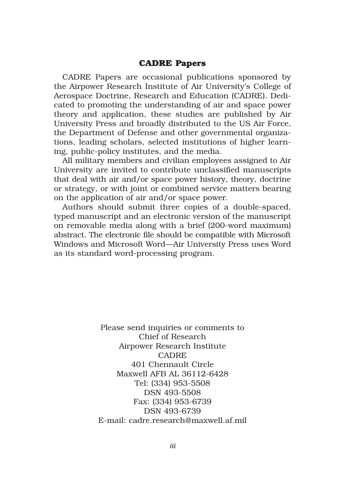#### **CADRE Papers**

CADRE Papers are occasional publications sponsored by the Airpower Research Institute of Air University's College of Aerospace Doctrine, Research and Education (CADRE). Dedicated to promoting the understanding of air and space power theory and application, these studies are published by Air University Press and broadly distributed to the US Air Force, the Department of Defense and other governmental organizations, leading scholars, selected institutions of higher learning, public-policy institutes, and the media.

All military members and civilian employees assigned to Air University are invited to contribute unclassified manuscripts that deal with air and/or space power history, theory, doctrine or strategy, or with joint or combined service matters bearing on the application of air and/or space power.

Authors should submit three copies of a double-spaced, typed manuscript and an electronic version of the manuscript on removable media along with a brief (200-word maximum) abstract. The electronic file should be compatible with Microsoft Windows and Microsoft Word—Air University Press uses Word as its standard word-processing program.

> Please send inquiries or comments to Chief of Research Airpower Research Institute CADRE 401 Chennault Circle Maxwell AFB AL 36112-6428 Tel: (334) 953-5508 DSN 493-5508 Fax: (334) 953-6739 DSN 493-6739 E-mail: cadre.research@maxwell.af.mil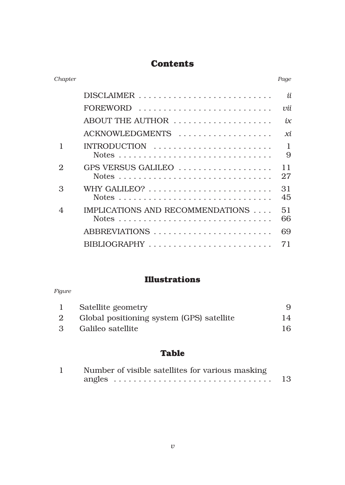## **Contents**

| Chapter |                                  | Page              |
|---------|----------------------------------|-------------------|
|         |                                  | ii                |
|         | FOREWORD                         | vii               |
|         | ABOUT THE AUTHOR                 | ix                |
|         | ACKNOWLEDGMENTS                  | хi                |
| 1       | INTRODUCTION                     | $\mathbf{1}$<br>9 |
| 2       | GPS VERSUS GALILEO               | 11<br>27          |
| 3       |                                  | 31<br>45          |
| 4       | IMPLICATIONS AND RECOMMENDATIONS | 51<br>66          |
|         | ABBREVIATIONS                    | 69                |
|         |                                  | 71                |
|         |                                  |                   |

## **Illustrations**

## *Figure*

|   | Satellite geometry                        |    |
|---|-------------------------------------------|----|
| 2 | Global positioning system (GPS) satellite | 14 |
| 3 | Galileo satellite                         | 16 |

## **Table**

| Number of visible satellites for various masking |    |
|--------------------------------------------------|----|
|                                                  | 13 |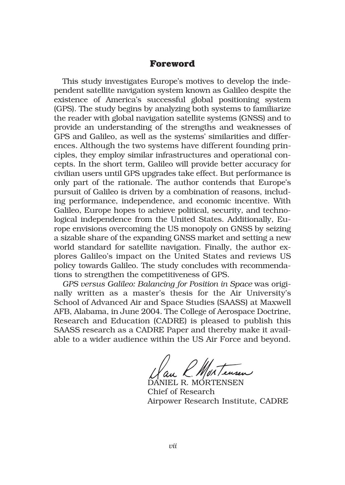### **Foreword**

This study investigates Europe's motives to develop the independent satellite navigation system known as Galileo despite the existence of America's successful global positioning system (GPS). The study begins by analyzing both systems to familiarize the reader with global navigation satellite systems (GNSS) and to provide an understanding of the strengths and weaknesses of GPS and Galileo, as well as the systems' similarities and differences. Although the two systems have different founding principles, they employ similar infrastructures and operational concepts. In the short term, Galileo will provide better accuracy for civilian users until GPS upgrades take effect. But performance is only part of the rationale. The author contends that Europe's pursuit of Galileo is driven by a combination of reasons, including performance, independence, and economic incentive. With Galileo, Europe hopes to achieve political, security, and technological independence from the United States. Additionally, Europe envisions overcoming the US monopoly on GNSS by seizing a sizable share of the expanding GNSS market and setting a new world standard for satellite navigation. Finally, the author explores Galileo's impact on the United States and reviews US policy towards Galileo. The study concludes with recommendations to strengthen the competitiveness of GPS.

*GPS versus Galileo: Balancing for Position in Space* was originally written as a master's thesis for the Air University's School of Advanced Air and Space Studies (SAASS) at Maxwell AFB, Alabama, in June 2004. The College of Aerospace Doctrine, Research and Education (CADRE) is pleased to publish this SAASS research as a CADRE Paper and thereby make it available to a wider audience within the US Air Force and beyond.

au K. MONTeusen

Chief of Research Airpower Research Institute, CADRE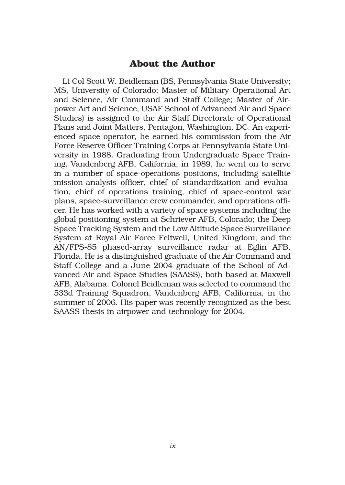## **About the Author**

Lt Col Scott W. Beidleman (BS, Pennsylvania State University; MS, University of Colorado; Master of Military Operational Art and Science, Air Command and Staff College; Master of Airpower Art and Science, USAF School of Advanced Air and Space Studies) is assigned to the Air Staff Directorate of Operational Plans and Joint Matters, Pentagon, Washington, DC. An experienced space operator, he earned his commission from the Air Force Reserve Officer Training Corps at Pennsylvania State University in 1988. Graduating from Undergraduate Space Training, Vandenberg AFB, California, in 1989, he went on to serve in a number of space-operations positions, including satellite mission-analysis officer, chief of standardization and evaluation, chief of operations training, chief of space-control war plans, space-surveillance crew commander, and operations officer. He has worked with a variety of space systems including the global positioning system at Schriever AFB, Colorado; the Deep Space Tracking System and the Low Altitude Space Surveillance System at Royal Air Force Feltwell, United Kingdom; and the AN/FPS-85 phased-array surveillance radar at Eglin AFB, Florida. He is a distinguished graduate of the Air Command and Staff College and a June 2004 graduate of the School of Advanced Air and Space Studies (SAASS), both based at Maxwell AFB, Alabama. Colonel Beidleman was selected to command the 533d Training Squadron, Vandenberg AFB, California, in the summer of 2006. His paper was recently recognized as the best SAASS thesis in airpower and technology for 2004.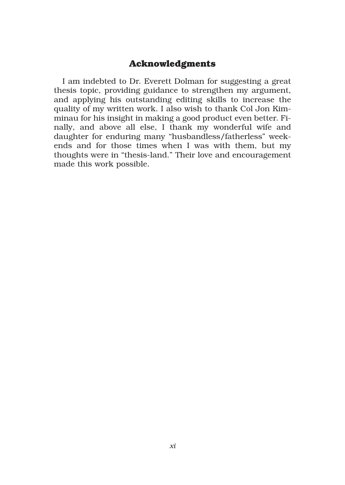## **Acknowledgments**

I am indebted to Dr. Everett Dolman for suggesting a great thesis topic, providing guidance to strengthen my argument, and applying his outstanding editing skills to increase the quality of my written work. I also wish to thank Col Jon Kimminau for his insight in making a good product even better. Finally, and above all else, I thank my wonderful wife and daughter for enduring many "husbandless/fatherless" weekends and for those times when I was with them, but my thoughts were in "thesis-land." Their love and encouragement made this work possible.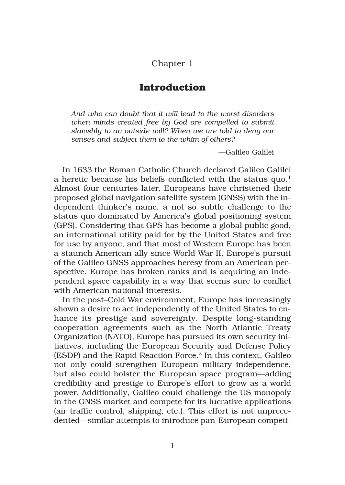## Chapter 1

## **Introduction**

*And who can doubt that it will lead to the worst disorders when minds created free by God are compelled to submit slavishly to an outside will? When we are told to deny our senses and subject them to the whim of others?*

––Galileo Galilei

In 1633 the Roman Catholic Church declared Galileo Galilei a heretic because his beliefs conflicted with the status quo.<sup>1</sup> Almost four centuries later, Europeans have christened their proposed global navigation satellite system (GNSS) with the independent thinker's name, a not so subtle challenge to the status quo dominated by America's global positioning system (GPS). Considering that GPS has become a global public good, an international utility paid for by the United States and free for use by anyone, and that most of Western Europe has been a staunch American ally since World War II, Europe's pursuit of the Galileo GNSS approaches heresy from an American perspective. Europe has broken ranks and is acquiring an independent space capability in a way that seems sure to conflict with American national interests.

In the post–Cold War environment, Europe has increasingly shown a desire to act independently of the United States to enhance its prestige and sovereignty. Despite long-standing cooperation agreements such as the North Atlantic Treaty Organization (NATO), Europe has pursued its own security initiatives, including the European Security and Defense Policy (ESDP) and the Rapid Reaction Force.2 In this context, Galileo not only could strengthen European military independence, but also could bolster the European space program—adding credibility and prestige to Europe's effort to grow as a world power. Additionally, Galileo could challenge the US monopoly in the GNSS market and compete for its lucrative applications (air traffic control, shipping, etc.). This effort is not unprecedented—similar attempts to introduce pan-European competi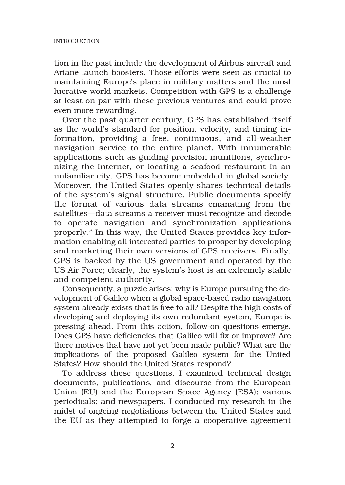tion in the past include the development of Airbus aircraft and Ariane launch boosters. Those efforts were seen as crucial to maintaining Europe's place in military matters and the most lucrative world markets. Competition with GPS is a challenge at least on par with these previous ventures and could prove even more rewarding.

Over the past quarter century, GPS has established itself as the world's standard for position, velocity, and timing information, providing a free, continuous, and all-weather navigation service to the entire planet. With innumerable applications such as guiding precision munitions, synchronizing the Internet, or locating a seafood restaurant in an unfamiliar city, GPS has become embedded in global society. Moreover, the United States openly shares technical details of the system's signal structure. Public documents specify the format of various data streams emanating from the satellites—data streams a receiver must recognize and decode to operate navigation and synchronization applications properly.3 In this way, the United States provides key information enabling all interested parties to prosper by developing and marketing their own versions of GPS receivers. Finally, GPS is backed by the US government and operated by the US Air Force; clearly, the system's host is an extremely stable and competent authority.

Consequently, a puzzle arises: why is Europe pursuing the development of Galileo when a global space-based radio navigation system already exists that is free to all? Despite the high costs of developing and deploying its own redundant system, Europe is pressing ahead. From this action, follow-on questions emerge. Does GPS have deficiencies that Galileo will fix or improve? Are there motives that have not yet been made public? What are the implications of the proposed Galileo system for the United States? How should the United States respond?

To address these questions, I examined technical design documents, publications, and discourse from the European Union (EU) and the European Space Agency (ESA); various periodicals; and newspapers. I conducted my research in the midst of ongoing negotiations between the United States and the EU as they attempted to forge a cooperative agreement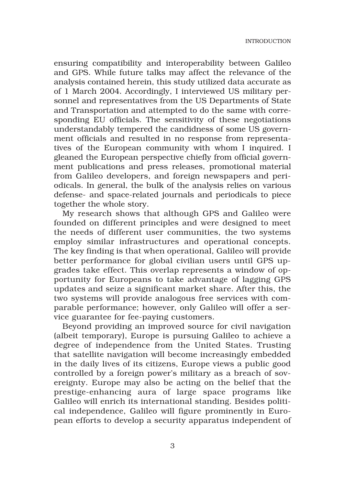ensuring compatibility and interoperability between Galileo and GPS. While future talks may affect the relevance of the analysis contained herein, this study utilized data accurate as of 1 March 2004. Accordingly, I interviewed US military personnel and representatives from the US Departments of State and Transportation and attempted to do the same with corresponding EU officials. The sensitivity of these negotiations understandably tempered the candidness of some US government officials and resulted in no response from representatives of the European community with whom I inquired. I gleaned the European perspective chiefly from official government publications and press releases, promotional material from Galileo developers, and foreign newspapers and periodicals. In general, the bulk of the analysis relies on various defense- and space-related journals and periodicals to piece together the whole story.

My research shows that although GPS and Galileo were founded on different principles and were designed to meet the needs of different user communities, the two systems employ similar infrastructures and operational concepts. The key finding is that when operational, Galileo will provide better performance for global civilian users until GPS upgrades take effect. This overlap represents a window of opportunity for Europeans to take advantage of lagging GPS updates and seize a significant market share. After this, the two systems will provide analogous free services with comparable performance; however, only Galileo will offer a service guarantee for fee-paying customers.

Beyond providing an improved source for civil navigation (albeit temporary), Europe is pursuing Galileo to achieve a degree of independence from the United States. Trusting that satellite navigation will become increasingly embedded in the daily lives of its citizens, Europe views a public good controlled by a foreign power's military as a breach of sovereignty. Europe may also be acting on the belief that the prestige-enhancing aura of large space programs like Galileo will enrich its international standing. Besides political independence, Galileo will figure prominently in European efforts to develop a security apparatus independent of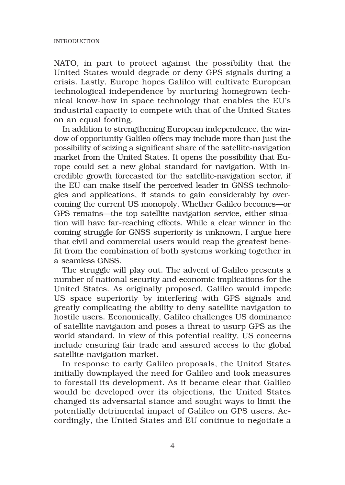#### INTRODUCTION

NATO, in part to protect against the possibility that the United States would degrade or deny GPS signals during a crisis. Lastly, Europe hopes Galileo will cultivate European technological independence by nurturing homegrown technical know-how in space technology that enables the EU's industrial capacity to compete with that of the United States on an equal footing.

In addition to strengthening European independence, the window of opportunity Galileo offers may include more than just the possibility of seizing a significant share of the satellite-navigation market from the United States. It opens the possibility that Europe could set a new global standard for navigation. With incredible growth forecasted for the satellite-navigation sector, if the EU can make itself the perceived leader in GNSS technologies and applications, it stands to gain considerably by overcoming the current US monopoly. Whether Galileo becomes—or GPS remains—the top satellite navigation service, either situation will have far-reaching effects. While a clear winner in the coming struggle for GNSS superiority is unknown, I argue here that civil and commercial users would reap the greatest benefit from the combination of both systems working together in a seamless GNSS.

The struggle will play out. The advent of Galileo presents a number of national security and economic implications for the United States. As originally proposed, Galileo would impede US space superiority by interfering with GPS signals and greatly complicating the ability to deny satellite navigation to hostile users. Economically, Galileo challenges US dominance of satellite navigation and poses a threat to usurp GPS as the world standard. In view of this potential reality, US concerns include ensuring fair trade and assured access to the global satellite-navigation market.

In response to early Galileo proposals, the United States initially downplayed the need for Galileo and took measures to forestall its development. As it became clear that Galileo would be developed over its objections, the United States changed its adversarial stance and sought ways to limit the potentially detrimental impact of Galileo on GPS users. Accordingly, the United States and EU continue to negotiate a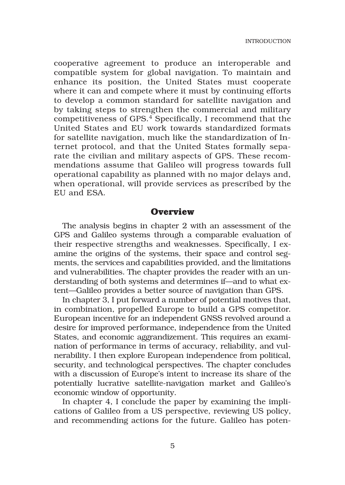cooperative agreement to produce an interoperable and compatible system for global navigation. To maintain and enhance its position, the United States must cooperate where it can and compete where it must by continuing efforts to develop a common standard for satellite navigation and by taking steps to strengthen the commercial and military competitiveness of GPS.4 Specifically, I recommend that the United States and EU work towards standardized formats for satellite navigation, much like the standardization of Internet protocol, and that the United States formally separate the civilian and military aspects of GPS. These recommendations assume that Galileo will progress towards full operational capability as planned with no major delays and, when operational, will provide services as prescribed by the EU and ESA.

## **Overview**

The analysis begins in chapter 2 with an assessment of the GPS and Galileo systems through a comparable evaluation of their respective strengths and weaknesses. Specifically, I examine the origins of the systems, their space and control segments, the services and capabilities provided, and the limitations and vulnerabilities. The chapter provides the reader with an understanding of both systems and determines if—and to what extent—Galileo provides a better source of navigation than GPS.

In chapter 3, I put forward a number of potential motives that, in combination, propelled Europe to build a GPS competitor. European incentive for an independent GNSS revolved around a desire for improved performance, independence from the United States, and economic aggrandizement. This requires an examination of performance in terms of accuracy, reliability, and vulnerability. I then explore European independence from political, security, and technological perspectives. The chapter concludes with a discussion of Europe's intent to increase its share of the potentially lucrative satellite-navigation market and Galileo's economic window of opportunity.

In chapter 4, I conclude the paper by examining the implications of Galileo from a US perspective, reviewing US policy, and recommending actions for the future. Galileo has poten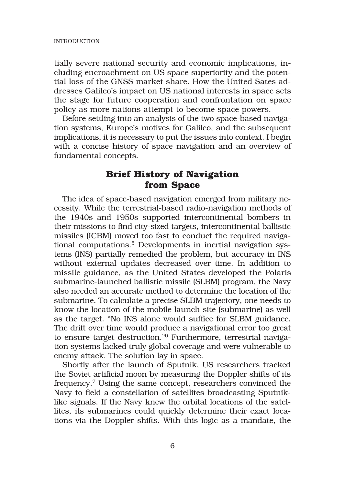tially severe national security and economic implications, including encroachment on US space superiority and the potential loss of the GNSS market share. How the United Sates addresses Galileo's impact on US national interests in space sets the stage for future cooperation and confrontation on space policy as more nations attempt to become space powers.

Before settling into an analysis of the two space-based navigation systems, Europe's motives for Galileo, and the subsequent implications, it is necessary to put the issues into context. I begin with a concise history of space navigation and an overview of fundamental concepts.

## **Brief History of Navigation from Space**

The idea of space-based navigation emerged from military necessity. While the terrestrial-based radio-navigation methods of the 1940s and 1950s supported intercontinental bombers in their missions to find city-sized targets, intercontinental ballistic missiles (ICBM) moved too fast to conduct the required navigational computations.<sup>5</sup> Developments in inertial navigation systems (INS) partially remedied the problem, but accuracy in INS without external updates decreased over time. In addition to missile guidance, as the United States developed the Polaris submarine-launched ballistic missile (SLBM) program, the Navy also needed an accurate method to determine the location of the submarine. To calculate a precise SLBM trajectory, one needs to know the location of the mobile launch site (submarine) as well as the target. "No INS alone would suffice for SLBM guidance. The drift over time would produce a navigational error too great to ensure target destruction."6 Furthermore, terrestrial navigation systems lacked truly global coverage and were vulnerable to enemy attack. The solution lay in space.

Shortly after the launch of Sputnik, US researchers tracked the Soviet artificial moon by measuring the Doppler shifts of its frequency.7 Using the same concept, researchers convinced the Navy to field a constellation of satellites broadcasting Sputniklike signals. If the Navy knew the orbital locations of the satellites, its submarines could quickly determine their exact locations via the Doppler shifts. With this logic as a mandate, the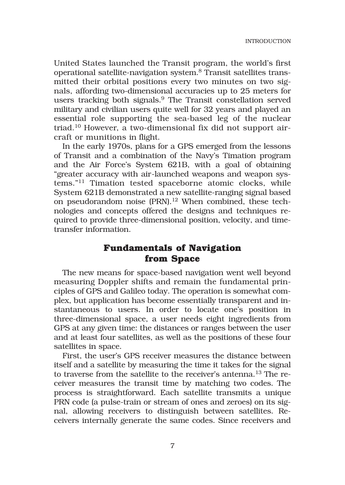United States launched the Transit program, the world's first operational satellite-navigation system.8 Transit satellites transmitted their orbital positions every two minutes on two signals, affording two-dimensional accuracies up to 25 meters for users tracking both signals.9 The Transit constellation served military and civilian users quite well for 32 years and played an essential role supporting the sea-based leg of the nuclear triad.10 However, a two-dimensional fix did not support aircraft or munitions in flight.

In the early 1970s, plans for a GPS emerged from the lessons of Transit and a combination of the Navy's Timation program and the Air Force's System 621B, with a goal of obtaining "greater accuracy with air-launched weapons and weapon systems."11 Timation tested spaceborne atomic clocks, while System 621B demonstrated a new satellite-ranging signal based on pseudorandom noise (PRN).12 When combined, these technologies and concepts offered the designs and techniques required to provide three-dimensional position, velocity, and timetransfer information.

## **Fundamentals of Navigation from Space**

The new means for space-based navigation went well beyond measuring Doppler shifts and remain the fundamental principles of GPS and Galileo today. The operation is somewhat complex, but application has become essentially transparent and instantaneous to users. In order to locate one's position in three-dimensional space, a user needs eight ingredients from GPS at any given time: the distances or ranges between the user and at least four satellites, as well as the positions of these four satellites in space.

First, the user's GPS receiver measures the distance between itself and a satellite by measuring the time it takes for the signal to traverse from the satellite to the receiver's antenna.13 The receiver measures the transit time by matching two codes. The process is straightforward. Each satellite transmits a unique PRN code (a pulse-train or stream of ones and zeroes) on its signal, allowing receivers to distinguish between satellites. Receivers internally generate the same codes. Since receivers and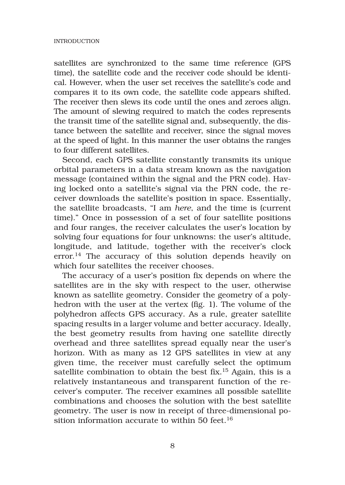#### INTRODUCTION

satellites are synchronized to the same time reference (GPS time), the satellite code and the receiver code should be identical. However, when the user set receives the satellite's code and compares it to its own code, the satellite code appears shifted. The receiver then slews its code until the ones and zeroes align. The amount of slewing required to match the codes represents the transit time of the satellite signal and, subsequently, the distance between the satellite and receiver, since the signal moves at the speed of light. In this manner the user obtains the ranges to four different satellites.

Second, each GPS satellite constantly transmits its unique orbital parameters in a data stream known as the navigation message (contained within the signal and the PRN code). Having locked onto a satellite's signal via the PRN code, the receiver downloads the satellite's position in space. Essentially, the satellite broadcasts, "I am *here*, and the time is (current time)." Once in possession of a set of four satellite positions and four ranges, the receiver calculates the user's location by solving four equations for four unknowns: the user's altitude, longitude, and latitude, together with the receiver's clock error.<sup>14</sup> The accuracy of this solution depends heavily on which four satellites the receiver chooses.

The accuracy of a user's position fix depends on where the satellites are in the sky with respect to the user, otherwise known as satellite geometry. Consider the geometry of a polyhedron with the user at the vertex (fig. 1). The volume of the polyhedron affects GPS accuracy. As a rule, greater satellite spacing results in a larger volume and better accuracy. Ideally, the best geometry results from having one satellite directly overhead and three satellites spread equally near the user's horizon. With as many as 12 GPS satellites in view at any given time, the receiver must carefully select the optimum satellite combination to obtain the best fix.<sup>15</sup> Again, this is a relatively instantaneous and transparent function of the receiver's computer. The receiver examines all possible satellite combinations and chooses the solution with the best satellite geometry. The user is now in receipt of three-dimensional position information accurate to within  $50$  feet.<sup>16</sup>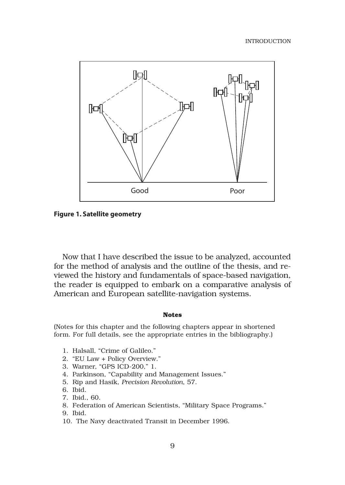

**Figure 1. Satellite geometry**

Now that I have described the issue to be analyzed, accounted for the method of analysis and the outline of the thesis, and reviewed the history and fundamentals of space-based navigation, the reader is equipped to embark on a comparative analysis of American and European satellite-navigation systems.

#### **Notes**

(Notes for this chapter and the following chapters appear in shortened form. For full details, see the appropriate entries in the bibliography.)

- 1. Halsall, "Crime of Galileo."
- 2. "EU Law + Policy Overview."
- 3. Warner, "GPS ICD-200," 1.
- 4. Parkinson, "Capability and Management Issues."
- 5. Rip and Hasik, *Precision Revolution*, 57.
- 6. Ibid.
- 7. Ibid., 60.
- 8. Federation of American Scientists, "Military Space Programs."
- 9. Ibid.
- 10. The Navy deactivated Transit in December 1996.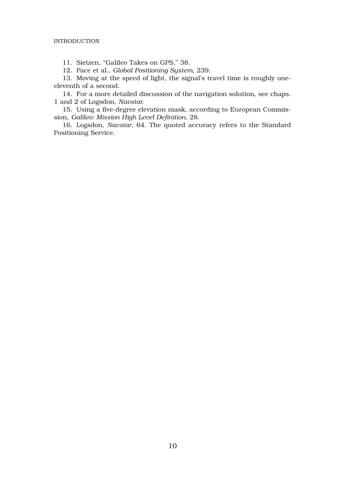11. Sietzen, "Galileo Takes on GPS," 38.

12. Pace et al., *Global Positioning System*, 239.

13. Moving at the speed of light, the signal's travel time is roughly oneeleventh of a second.

14. For a more detailed discussion of the navigation solution, see chaps. 1 and 2 of Logsdon, *Navstar.*

15. Using a five-degree elevation mask, according to European Commission, *Galileo: Mission High Level Definition*, 28.

16. Logsdon, *Navstar*, 64. The quoted accuracy refers to the Standard Positioning Service.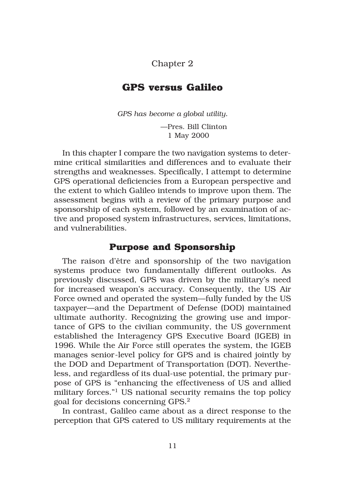Chapter 2

## **GPS versus Galileo**

*GPS has become a global utility.*

—Pres. Bill Clinton —1 May 2000

In this chapter I compare the two navigation systems to determine critical similarities and differences and to evaluate their strengths and weaknesses. Specifically, I attempt to determine GPS operational deficiencies from a European perspective and the extent to which Galileo intends to improve upon them. The assessment begins with a review of the primary purpose and sponsorship of each system, followed by an examination of active and proposed system infrastructures, services, limitations, and vulnerabilities.

## **Purpose and Sponsorship**

The raison d'être and sponsorship of the two navigation systems produce two fundamentally different outlooks. As previously discussed, GPS was driven by the military's need for increased weapon's accuracy. Consequently, the US Air Force owned and operated the system—fully funded by the US taxpayer—and the Department of Defense (DOD) maintained ultimate authority. Recognizing the growing use and importance of GPS to the civilian community, the US government established the Interagency GPS Executive Board (IGEB) in 1996. While the Air Force still operates the system, the IGEB manages senior-level policy for GPS and is chaired jointly by the DOD and Department of Transportation (DOT). Nevertheless, and regardless of its dual-use potential, the primary purpose of GPS is "enhancing the effectiveness of US and allied military forces."<sup>1</sup> US national security remains the top policy goal for decisions concerning GPS.2

In contrast, Galileo came about as a direct response to the perception that GPS catered to US military requirements at the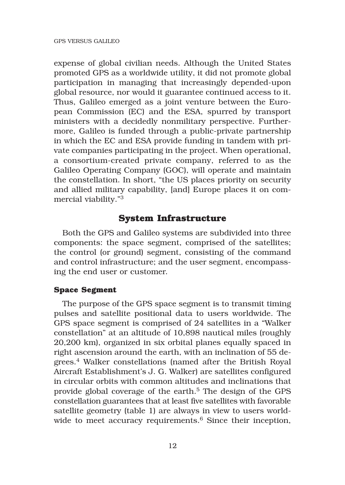expense of global civilian needs. Although the United States promoted GPS as a worldwide utility, it did not promote global participation in managing that increasingly depended-upon global resource, nor would it guarantee continued access to it. Thus, Galileo emerged as a joint venture between the European Commission (EC) and the ESA, spurred by transport ministers with a decidedly nonmilitary perspective. Furthermore, Galileo is funded through a public-private partnership in which the EC and ESA provide funding in tandem with private companies participating in the project. When operational, a consortium-created private company, referred to as the Galileo Operating Company (GOC), will operate and maintain the constellation. In short, "the US places priority on security and allied military capability, [and] Europe places it on commercial viability."3

## **System Infrastructure**

Both the GPS and Galileo systems are subdivided into three components: the space segment, comprised of the satellites; the control (or ground) segment, consisting of the command and control infrastructure; and the user segment, encompassing the end user or customer.

#### **Space Segment**

The purpose of the GPS space segment is to transmit timing pulses and satellite positional data to users worldwide. The GPS space segment is comprised of 24 satellites in a "Walker constellation" at an altitude of 10,898 nautical miles (roughly 20,200 km), organized in six orbital planes equally spaced in right ascension around the earth, with an inclination of 55 degrees.4 Walker constellations (named after the British Royal Aircraft Establishment's J. G. Walker) are satellites configured in circular orbits with common altitudes and inclinations that provide global coverage of the earth.5 The design of the GPS constellation guarantees that at least five satellites with favorable satellite geometry (table 1) are always in view to users worldwide to meet accuracy requirements.<sup>6</sup> Since their inception,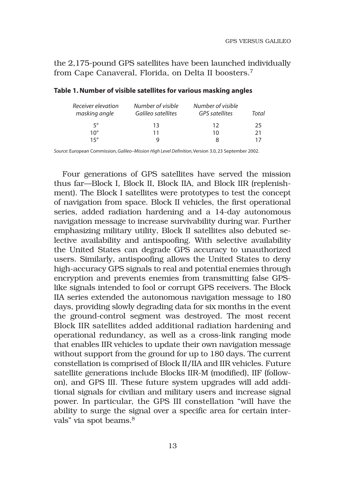the 2,175-pound GPS satellites have been launched individually from Cape Canaveral, Florida, on Delta II boosters.7

| Receiver elevation<br>masking angle | Number of visible<br>Galileo satellites | Number of visible<br><b>GPS</b> satellites | Total |
|-------------------------------------|-----------------------------------------|--------------------------------------------|-------|
| $5^{\circ}$                         | 13                                      | 12                                         | 25    |
| 10 $^{\circ}$                       | 11                                      | 10                                         | 21    |
| $15^{\circ}$                        |                                         | x                                          |       |

#### **Table 1. Number of visible satellites for various masking angles**

*Source*: European Commission, *Galileo–Mission High Level Definition*, Version 3.0, 23 September 2002.

Four generations of GPS satellites have served the mission thus far—Block I, Block II, Block IIA, and Block IIR (replenishment). The Block I satellites were prototypes to test the concept of navigation from space. Block II vehicles, the first operational series, added radiation hardening and a 14-day autonomous navigation message to increase survivability during war. Further emphasizing military utility, Block II satellites also debuted selective availability and antispoofing. With selective availability the United States can degrade GPS accuracy to unauthorized users. Similarly, antispoofing allows the United States to deny high-accuracy GPS signals to real and potential enemies through encryption and prevents enemies from transmitting false GPSlike signals intended to fool or corrupt GPS receivers. The Block IIA series extended the autonomous navigation message to 180 days, providing slowly degrading data for six months in the event the ground-control segment was destroyed. The most recent Block IIR satellites added additional radiation hardening and operational redundancy, as well as a cross-link ranging mode that enables IIR vehicles to update their own navigation message without support from the ground for up to 180 days. The current constellation is comprised of Block II/IIA and IIR vehicles. Future satellite generations include Blocks IIR-M (modified), IIF (followon), and GPS III. These future system upgrades will add additional signals for civilian and military users and increase signal power. In particular, the GPS III constellation "will have the ability to surge the signal over a specific area for certain intervals" via spot beams.<sup>8</sup>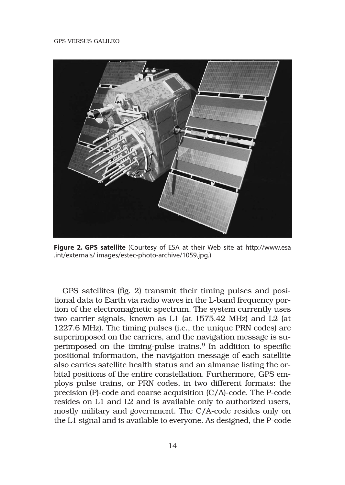

**Figure 2. GPS satellite** (Courtesy of ESA at their Web site at http://www.esa .int/externals/ images/estec-photo-archive/1059.jpg.)

GPS satellites (fig. 2) transmit their timing pulses and positional data to Earth via radio waves in the L-band frequency portion of the electromagnetic spectrum. The system currently uses two carrier signals, known as L1 (at 1575.42 MHz) and L2 (at 1227.6 MHz). The timing pulses (i.e., the unique PRN codes) are superimposed on the carriers, and the navigation message is superimposed on the timing-pulse trains.9 In addition to specific positional information, the navigation message of each satellite also carries satellite health status and an almanac listing the orbital positions of the entire constellation. Furthermore, GPS employs pulse trains, or PRN codes, in two different formats: the precision (P)-code and coarse acquisition (C/A)-code. The P-code resides on L1 and L2 and is available only to authorized users, mostly military and government. The C/A-code resides only on the L1 signal and is available to everyone. As designed, the P-code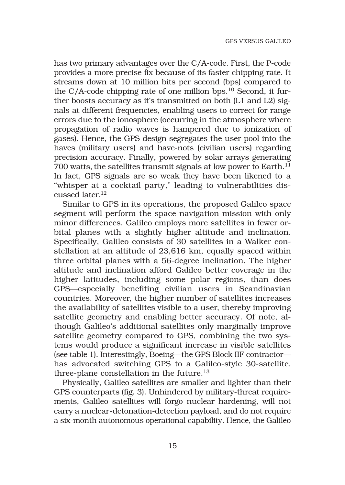has two primary advantages over the C/A-code. First, the P-code provides a more precise fix because of its faster chipping rate. It streams down at 10 million bits per second (bps) compared to the C/A-code chipping rate of one million bps. $^{10}$  Second, it further boosts accuracy as it's transmitted on both (L1 and L2) signals at different frequencies, enabling users to correct for range errors due to the ionosphere (occurring in the atmosphere where propagation of radio waves is hampered due to ionization of gases). Hence, the GPS design segregates the user pool into the haves (military users) and have-nots (civilian users) regarding precision accuracy. Finally, powered by solar arrays generating  $700$  watts, the satellites transmit signals at low power to Earth.<sup>11</sup> In fact, GPS signals are so weak they have been likened to a "whisper at a cocktail party," leading to vulnerabilities discussed later.12

Similar to GPS in its operations, the proposed Galileo space segment will perform the space navigation mission with only minor differences. Galileo employs more satellites in fewer orbital planes with a slightly higher altitude and inclination. Specifically, Galileo consists of 30 satellites in a Walker constellation at an altitude of 23,616 km, equally spaced within three orbital planes with a 56-degree inclination. The higher altitude and inclination afford Galileo better coverage in the higher latitudes, including some polar regions, than does GPS—especially benefiting civilian users in Scandinavian countries. Moreover, the higher number of satellites increases the availability of satellites visible to a user, thereby improving satellite geometry and enabling better accuracy. Of note, although Galileo's additional satellites only marginally improve satellite geometry compared to GPS, combining the two systems would produce a significant increase in visible satellites (see table 1). Interestingly, Boeing—the GPS Block IIF contractor has advocated switching GPS to a Galileo-style 30-satellite, three-plane constellation in the future.<sup>13</sup>

Physically, Galileo satellites are smaller and lighter than their GPS counterparts (fig. 3). Unhindered by military-threat requirements, Galileo satellites will forgo nuclear hardening, will not carry a nuclear-detonation-detection payload, and do not require a six-month autonomous operational capability. Hence, the Galileo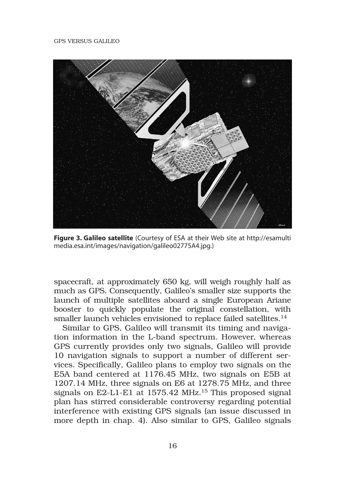#### GPS VERSUS GALILEO



**Figure 3. Galileo satellite** (Courtesy of ESA at their Web site at http://esamulti media.esa.int/images/navigation/galileo02775A4.jpg.)

spacecraft, at approximately 650 kg, will weigh roughly half as much as GPS. Consequently, Galileo's smaller size supports the launch of multiple satellites aboard a single European Ariane booster to quickly populate the original constellation, with smaller launch vehicles envisioned to replace failed satellites.14

Similar to GPS, Galileo will transmit its timing and navigation information in the L-band spectrum. However, whereas GPS currently provides only two signals, Galileo will provide 10 navigation signals to support a number of different services. Specifically, Galileo plans to employ two signals on the E5A band centered at 1176.45 MHz, two signals on E5B at 1207.14 MHz, three signals on E6 at 1278.75 MHz, and three signals on E2-L1-E1 at 1575.42 MHz.15 This proposed signal plan has stirred considerable controversy regarding potential interference with existing GPS signals (an issue discussed in more depth in chap. 4). Also similar to GPS, Galileo signals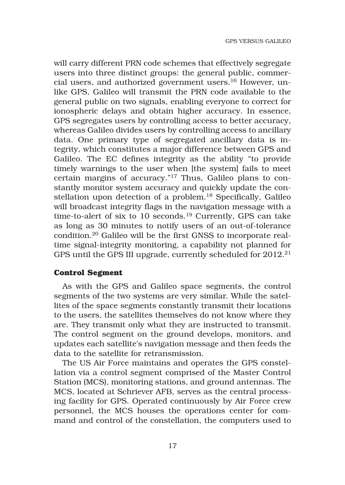will carry different PRN code schemes that effectively segregate users into three distinct groups: the general public, commercial users, and authorized government users.16 However, unlike GPS, Galileo will transmit the PRN code available to the general public on two signals, enabling everyone to correct for ionospheric delays and obtain higher accuracy. In essence, GPS segregates users by controlling access to better accuracy, whereas Galileo divides users by controlling access to ancillary data. One primary type of segregated ancillary data is integrity, which constitutes a major difference between GPS and Galileo. The EC defines integrity as the ability "to provide timely warnings to the user when [the system] fails to meet certain margins of accuracy."17 Thus, Galileo plans to constantly monitor system accuracy and quickly update the constellation upon detection of a problem.<sup>18</sup> Specifically, Galileo will broadcast integrity flags in the navigation message with a time-to-alert of six to 10 seconds.19 Currently, GPS can take as long as 30 minutes to notify users of an out-of-tolerance condition.20 Galileo will be the first GNSS to incorporate realtime signal-integrity monitoring, a capability not planned for GPS until the GPS III upgrade, currently scheduled for 2012.<sup>21</sup>

## **Control Segment**

As with the GPS and Galileo space segments, the control segments of the two systems are very similar. While the satellites of the space segments constantly transmit their locations to the users, the satellites themselves do not know where they are. They transmit only what they are instructed to transmit. The control segment on the ground develops, monitors, and updates each satellite's navigation message and then feeds the data to the satellite for retransmission.

The US Air Force maintains and operates the GPS constellation via a control segment comprised of the Master Control Station (MCS), monitoring stations, and ground antennas. The MCS, located at Schriever AFB, serves as the central processing facility for GPS. Operated continuously by Air Force crew personnel, the MCS houses the operations center for command and control of the constellation, the computers used to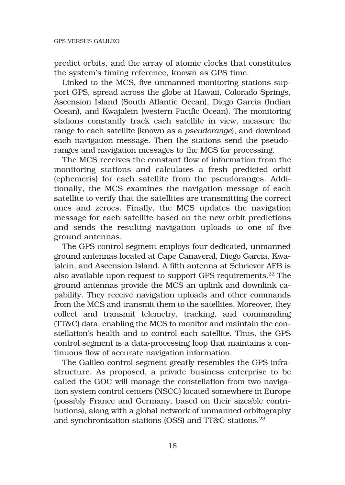predict orbits, and the array of atomic clocks that constitutes the system's timing reference, known as GPS time.

Linked to the MCS, five unmanned monitoring stations support GPS, spread across the globe at Hawaii, Colorado Springs, Ascension Island (South Atlantic Ocean), Diego Garcia (Indian Ocean), and Kwajalein (western Pacific Ocean). The monitoring stations constantly track each satellite in view, measure the range to each satellite (known as a *pseudorange*), and download each navigation message. Then the stations send the pseudoranges and navigation messages to the MCS for processing.

The MCS receives the constant flow of information from the monitoring stations and calculates a fresh predicted orbit (ephemeris) for each satellite from the pseudoranges. Additionally, the MCS examines the navigation message of each satellite to verify that the satellites are transmitting the correct ones and zeroes. Finally, the MCS updates the navigation message for each satellite based on the new orbit predictions and sends the resulting navigation uploads to one of five ground antennas.

The GPS control segment employs four dedicated, unmanned ground antennas located at Cape Canaveral, Diego Garcia, Kwajalein, and Ascension Island. A fifth antenna at Schriever AFB is also available upon request to support GPS requirements.<sup>22</sup> The ground antennas provide the MCS an uplink and downlink capability. They receive navigation uploads and other commands from the MCS and transmit them to the satellites. Moreover, they collect and transmit telemetry, tracking, and commanding (TT&C) data, enabling the MCS to monitor and maintain the constellation's health and to control each satellite. Thus, the GPS control segment is a data-processing loop that maintains a continuous flow of accurate navigation information.

The Galileo control segment greatly resembles the GPS infrastructure. As proposed, a private business enterprise to be called the GOC will manage the constellation from two navigation system control centers (NSCC) located somewhere in Europe (possibly France and Germany, based on their sizeable contributions), along with a global network of unmanned orbitography and synchronization stations (OSS) and TT&C stations.23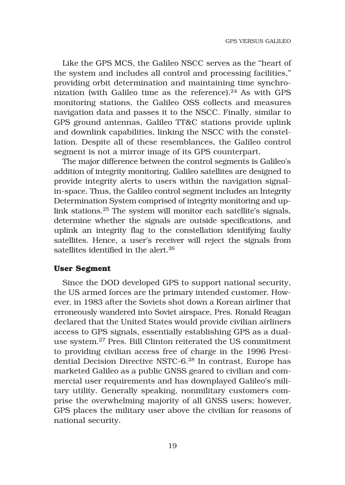Like the GPS MCS, the Galileo NSCC serves as the "heart of the system and includes all control and processing facilities," providing orbit determination and maintaining time synchronization (with Galileo time as the reference). $24$  As with GPS monitoring stations, the Galileo OSS collects and measures navigation data and passes it to the NSCC. Finally, similar to GPS ground antennas, Galileo TT&C stations provide uplink and downlink capabilities, linking the NSCC with the constellation. Despite all of these resemblances, the Galileo control segment is not a mirror image of its GPS counterpart.

The major difference between the control segments is Galileo's addition of integrity monitoring. Galileo satellites are designed to provide integrity alerts to users within the navigation signalin-space. Thus, the Galileo control segment includes an Integrity Determination System comprised of integrity monitoring and uplink stations.25 The system will monitor each satellite's signals, determine whether the signals are outside specifications, and uplink an integrity flag to the constellation identifying faulty satellites. Hence, a user's receiver will reject the signals from satellites identified in the alert.<sup>26</sup>

#### **User Segment**

Since the DOD developed GPS to support national security, the US armed forces are the primary intended customer. However, in 1983 after the Soviets shot down a Korean airliner that erroneously wandered into Soviet airspace, Pres. Ronald Reagan declared that the United States would provide civilian airliners access to GPS signals, essentially establishing GPS as a dualuse system.27 Pres. Bill Clinton reiterated the US commitment to providing civilian access free of charge in the 1996 Presidential Decision Directive NSTC-6.28 In contrast, Europe has marketed Galileo as a public GNSS geared to civilian and commercial user requirements and has downplayed Galileo's military utility. Generally speaking, nonmilitary customers comprise the overwhelming majority of all GNSS users; however, GPS places the military user above the civilian for reasons of national security.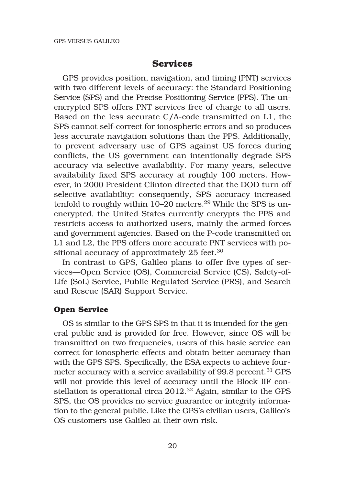## **Services**

GPS provides position, navigation, and timing (PNT) services with two different levels of accuracy: the Standard Positioning Service (SPS) and the Precise Positioning Service (PPS). The unencrypted SPS offers PNT services free of charge to all users. Based on the less accurate C/A-code transmitted on L1, the SPS cannot self-correct for ionospheric errors and so produces less accurate navigation solutions than the PPS. Additionally, to prevent adversary use of GPS against US forces during conflicts, the US government can intentionally degrade SPS accuracy via selective availability. For many years, selective availability fixed SPS accuracy at roughly 100 meters. However, in 2000 President Clinton directed that the DOD turn off selective availability; consequently, SPS accuracy increased tenfold to roughly within 10–20 meters.<sup>29</sup> While the SPS is unencrypted, the United States currently encrypts the PPS and restricts access to authorized users, mainly the armed forces and government agencies. Based on the P-code transmitted on L1 and L2, the PPS offers more accurate PNT services with positional accuracy of approximately 25 feet.<sup>30</sup>

In contrast to GPS, Galileo plans to offer five types of services—Open Service (OS), Commercial Service (CS), Safety-of-Life (SoL) Service, Public Regulated Service (PRS), and Search and Rescue (SAR) Support Service.

#### **Open Service**

OS is similar to the GPS SPS in that it is intended for the general public and is provided for free. However, since OS will be transmitted on two frequencies, users of this basic service can correct for ionospheric effects and obtain better accuracy than with the GPS SPS. Specifically, the ESA expects to achieve fourmeter accuracy with a service availability of 99.8 percent.31 GPS will not provide this level of accuracy until the Block IIF constellation is operational circa 2012.32 Again, similar to the GPS SPS, the OS provides no service guarantee or integrity information to the general public. Like the GPS's civilian users, Galileo's OS customers use Galileo at their own risk.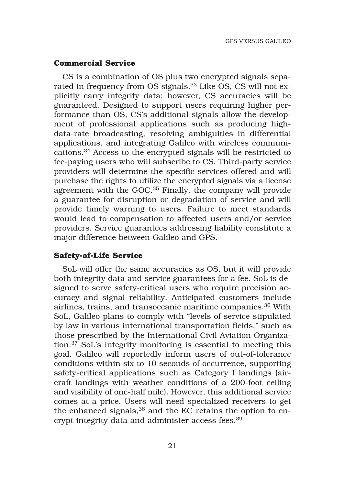#### **Commercial Service**

CS is a combination of OS plus two encrypted signals separated in frequency from OS signals.33 Like OS, CS will not explicitly carry integrity data; however, CS accuracies will be guaranteed. Designed to support users requiring higher performance than OS, CS's additional signals allow the development of professional applications such as producing highdata-rate broadcasting, resolving ambiguities in differential applications, and integrating Galileo with wireless communications.34 Access to the encrypted signals will be restricted to fee-paying users who will subscribe to CS. Third-party service providers will determine the specific services offered and will purchase the rights to utilize the encrypted signals via a license agreement with the GOC.35 Finally, the company will provide a guarantee for disruption or degradation of service and will provide timely warning to users. Failure to meet standards would lead to compensation to affected users and/or service providers. Service guarantees addressing liability constitute a major difference between Galileo and GPS.

#### **Safety-of-Life Service**

SoL will offer the same accuracies as OS, but it will provide both integrity data and service guarantees for a fee. SoL is designed to serve safety-critical users who require precision accuracy and signal reliability. Anticipated customers include airlines, trains, and transoceanic maritime companies.36 With SoL, Galileo plans to comply with "levels of service stipulated by law in various international transportation fields," such as those prescribed by the International Civil Aviation Organization. $37$  SoL's integrity monitoring is essential to meeting this goal. Galileo will reportedly inform users of out-of-tolerance conditions within six to 10 seconds of occurrence, supporting safety-critical applications such as Category I landings (aircraft landings with weather conditions of a 200-foot ceiling and visibility of one-half mile). However, this additional service comes at a price. Users will need specialized receivers to get the enhanced signals,  $38$  and the EC retains the option to encrypt integrity data and administer access fees.39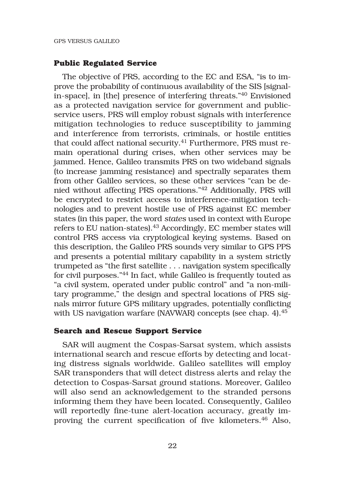#### **Public Regulated Service**

The objective of PRS, according to the EC and ESA, "is to improve the probability of continuous availability of the SIS [signalin-space], in [the] presence of interfering threats."40 Envisioned as a protected navigation service for government and publicservice users, PRS will employ robust signals with interference mitigation technologies to reduce susceptibility to jamming and interference from terrorists, criminals, or hostile entities that could affect national security.<sup>41</sup> Furthermore, PRS must remain operational during crises, when other services may be jammed. Hence, Galileo transmits PRS on two wideband signals (to increase jamming resistance) and spectrally separates them from other Galileo services, so these other services "can be denied without affecting PRS operations."42 Additionally, PRS will be encrypted to restrict access to interference-mitigation technologies and to prevent hostile use of PRS against EC member states (in this paper, the word *states* used in context with Europe refers to EU nation-states).43 Accordingly, EC member states will control PRS access via cryptological keying systems. Based on this description, the Galileo PRS sounds very similar to GPS PPS and presents a potential military capability in a system strictly trumpeted as "the first satellite . . . navigation system specifically for civil purposes."44 In fact, while Galileo is frequently touted as "a civil system, operated under public control" and "a non-military programme," the design and spectral locations of PRS signals mirror future GPS military upgrades, potentially conflicting with US navigation warfare (NAVWAR) concepts (see chap. 4).45

#### **Search and Rescue Support Service**

SAR will augment the Cospas-Sarsat system, which assists international search and rescue efforts by detecting and locating distress signals worldwide. Galileo satellites will employ SAR transponders that will detect distress alerts and relay the detection to Cospas-Sarsat ground stations. Moreover, Galileo will also send an acknowledgement to the stranded persons informing them they have been located. Consequently, Galileo will reportedly fine-tune alert-location accuracy, greatly improving the current specification of five kilometers.46 Also,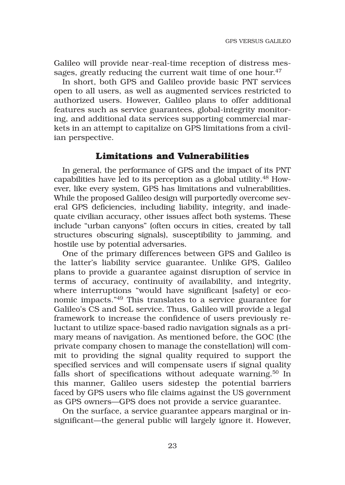Galileo will provide near-real-time reception of distress messages, greatly reducing the current wait time of one hour.<sup>47</sup>

In short, both GPS and Galileo provide basic PNT services open to all users, as well as augmented services restricted to authorized users. However, Galileo plans to offer additional features such as service guarantees, global-integrity monitoring, and additional data services supporting commercial markets in an attempt to capitalize on GPS limitations from a civilian perspective.

## **Limitations and Vulnerabilities**

In general, the performance of GPS and the impact of its PNT capabilities have led to its perception as a global utility.48 However, like every system, GPS has limitations and vulnerabilities. While the proposed Galileo design will purportedly overcome several GPS deficiencies, including liability, integrity, and inadequate civilian accuracy, other issues affect both systems. These include "urban canyons" (often occurs in cities, created by tall structures obscuring signals), susceptibility to jamming, and hostile use by potential adversaries.

One of the primary differences between GPS and Galileo is the latter's liability service guarantee. Unlike GPS, Galileo plans to provide a guarantee against disruption of service in terms of accuracy, continuity of availability, and integrity, where interruptions "would have significant [safety] or economic impacts."49 This translates to a service guarantee for Galileo's CS and SoL service. Thus, Galileo will provide a legal framework to increase the confidence of users previously reluctant to utilize space-based radio navigation signals as a primary means of navigation. As mentioned before, the GOC (the private company chosen to manage the constellation) will commit to providing the signal quality required to support the specified services and will compensate users if signal quality falls short of specifications without adequate warning.50 In this manner, Galileo users sidestep the potential barriers faced by GPS users who file claims against the US government as GPS owners—GPS does not provide a service guarantee.

On the surface, a service guarantee appears marginal or insignificant—the general public will largely ignore it. However,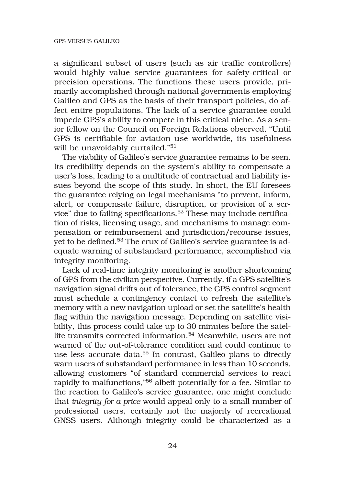a significant subset of users (such as air traffic controllers) would highly value service guarantees for safety-critical or precision operations. The functions these users provide, primarily accomplished through national governments employing Galileo and GPS as the basis of their transport policies, do affect entire populations. The lack of a service guarantee could impede GPS's ability to compete in this critical niche. As a senior fellow on the Council on Foreign Relations observed, "Until GPS is certifiable for aviation use worldwide, its usefulness will be unavoidably curtailed."<sup>51</sup>

The viability of Galileo's service guarantee remains to be seen. Its credibility depends on the system's ability to compensate a user's loss, leading to a multitude of contractual and liability issues beyond the scope of this study. In short, the EU foresees the guarantee relying on legal mechanisms "to prevent, inform, alert, or compensate failure, disruption, or provision of a service" due to failing specifications.52 These may include certification of risks, licensing usage, and mechanisms to manage compensation or reimbursement and jurisdiction/recourse issues, yet to be defined.53 The crux of Galileo's service guarantee is adequate warning of substandard performance, accomplished via integrity monitoring.

Lack of real-time integrity monitoring is another shortcoming of GPS from the civilian perspective. Currently, if a GPS satellite's navigation signal drifts out of tolerance, the GPS control segment must schedule a contingency contact to refresh the satellite's memory with a new navigation upload or set the satellite's health flag within the navigation message. Depending on satellite visibility, this process could take up to 30 minutes before the satellite transmits corrected information.54 Meanwhile, users are not warned of the out-of-tolerance condition and could continue to use less accurate data.55 In contrast, Galileo plans to directly warn users of substandard performance in less than 10 seconds, allowing customers "of standard commercial services to react rapidly to malfunctions,"56 albeit potentially for a fee. Similar to the reaction to Galileo's service guarantee, one might conclude that *integrity for a price* would appeal only to a small number of professional users, certainly not the majority of recreational GNSS users. Although integrity could be characterized as a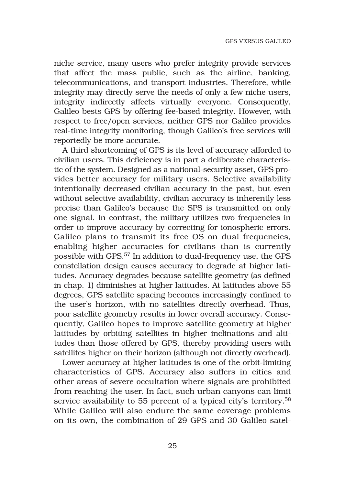niche service, many users who prefer integrity provide services that affect the mass public, such as the airline, banking, telecommunications, and transport industries. Therefore, while integrity may directly serve the needs of only a few niche users, integrity indirectly affects virtually everyone. Consequently, Galileo bests GPS by offering fee-based integrity. However, with respect to free/open services, neither GPS nor Galileo provides real-time integrity monitoring, though Galileo's free services will reportedly be more accurate.

A third shortcoming of GPS is its level of accuracy afforded to civilian users. This deficiency is in part a deliberate characteristic of the system. Designed as a national-security asset, GPS provides better accuracy for military users. Selective availability intentionally decreased civilian accuracy in the past, but even without selective availability, civilian accuracy is inherently less precise than Galileo's because the SPS is transmitted on only one signal. In contrast, the military utilizes two frequencies in order to improve accuracy by correcting for ionospheric errors. Galileo plans to transmit its free OS on dual frequencies, enabling higher accuracies for civilians than is currently possible with GPS.57 In addition to dual-frequency use, the GPS constellation design causes accuracy to degrade at higher latitudes. Accuracy degrades because satellite geometry (as defined in chap. 1) diminishes at higher latitudes. At latitudes above 55 degrees, GPS satellite spacing becomes increasingly confined to the user's horizon, with no satellites directly overhead. Thus, poor satellite geometry results in lower overall accuracy. Consequently, Galileo hopes to improve satellite geometry at higher latitudes by orbiting satellites in higher inclinations and altitudes than those offered by GPS, thereby providing users with satellites higher on their horizon (although not directly overhead).

Lower accuracy at higher latitudes is one of the orbit-limiting characteristics of GPS. Accuracy also suffers in cities and other areas of severe occultation where signals are prohibited from reaching the user. In fact, such urban canyons can limit service availability to 55 percent of a typical city's territory.58 While Galileo will also endure the same coverage problems on its own, the combination of 29 GPS and 30 Galileo satel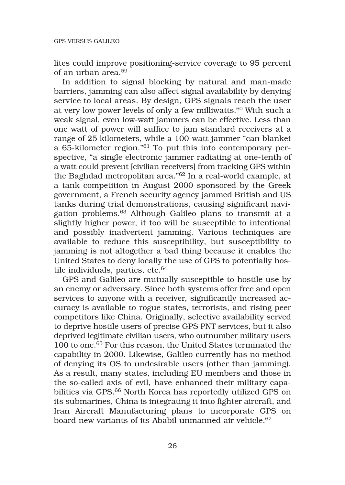lites could improve positioning-service coverage to 95 percent of an urban area.59

In addition to signal blocking by natural and man-made barriers, jamming can also affect signal availability by denying service to local areas. By design, GPS signals reach the user at very low power levels of only a few milliwatts.<sup>60</sup> With such a weak signal, even low-watt jammers can be effective. Less than one watt of power will suffice to jam standard receivers at a range of 25 kilometers, while a 100-watt jammer "can blanket a 65-kilometer region."61 To put this into contemporary perspective, "a single electronic jammer radiating at one-tenth of a watt could prevent [civilian receivers] from tracking GPS within the Baghdad metropolitan area."62 In a real-world example, at a tank competition in August 2000 sponsored by the Greek government, a French security agency jammed British and US tanks during trial demonstrations, causing significant navigation problems.63 Although Galileo plans to transmit at a slightly higher power, it too will be susceptible to intentional and possibly inadvertent jamming. Various techniques are available to reduce this susceptibility, but susceptibility to jamming is not altogether a bad thing because it enables the United States to deny locally the use of GPS to potentially hostile individuals, parties, etc.<sup>64</sup>

GPS and Galileo are mutually susceptible to hostile use by an enemy or adversary. Since both systems offer free and open services to anyone with a receiver, significantly increased accuracy is available to rogue states, terrorists, and rising peer competitors like China. Originally, selective availability served to deprive hostile users of precise GPS PNT services, but it also deprived legitimate civilian users, who outnumber military users 100 to one.65 For this reason, the United States terminated the capability in 2000. Likewise, Galileo currently has no method of denying its OS to undesirable users (other than jamming). As a result, many states, including EU members and those in the so-called axis of evil, have enhanced their military capabilities via GPS.<sup>66</sup> North Korea has reportedly utilized GPS on its submarines, China is integrating it into fighter aircraft, and Iran Aircraft Manufacturing plans to incorporate GPS on board new variants of its Ababil unmanned air vehicle.<sup>67</sup>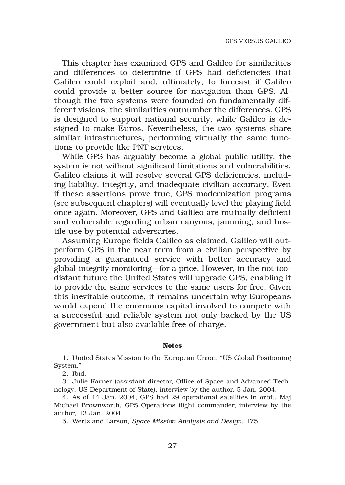This chapter has examined GPS and Galileo for similarities and differences to determine if GPS had deficiencies that Galileo could exploit and, ultimately, to forecast if Galileo could provide a better source for navigation than GPS. Although the two systems were founded on fundamentally different visions, the similarities outnumber the differences. GPS is designed to support national security, while Galileo is designed to make Euros. Nevertheless, the two systems share similar infrastructures, performing virtually the same functions to provide like PNT services.

While GPS has arguably become a global public utility, the system is not without significant limitations and vulnerabilities. Galileo claims it will resolve several GPS deficiencies, including liability, integrity, and inadequate civilian accuracy. Even if these assertions prove true, GPS modernization programs (see subsequent chapters) will eventually level the playing field once again. Moreover, GPS and Galileo are mutually deficient and vulnerable regarding urban canyons, jamming, and hostile use by potential adversaries.

Assuming Europe fields Galileo as claimed, Galileo will outperform GPS in the near term from a civilian perspective by providing a guaranteed service with better accuracy and global-integrity monitoring—for a price. However, in the not-toodistant future the United States will upgrade GPS, enabling it to provide the same services to the same users for free. Given this inevitable outcome, it remains uncertain why Europeans would expend the enormous capital involved to compete with a successful and reliable system not only backed by the US government but also available free of charge.

#### **Notes**

1. United States Mission to the European Union, "US Global Positioning System."

2. Ibid.

3. Julie Karner (assistant director, Office of Space and Advanced Technology, US Department of State), interview by the author, 5 Jan. 2004.

4. As of 14 Jan. 2004, GPS had 29 operational satellites in orbit. Maj Michael Brownworth, GPS Operations flight commander, interview by the author, 13 Jan. 2004.

5. Wertz and Larson, *Space Mission Analysis and Design*, 175.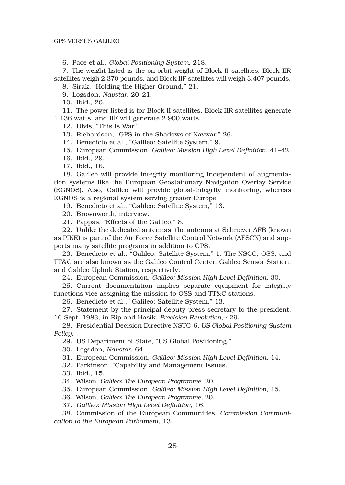#### GPS VERSUS GALILEO

6. Pace et al., *Global Positioning System*, 218.

7. The weight listed is the on-orbit weight of Block II satellites. Block IIR satellites weigh 2,370 pounds, and Block IIF satellites will weigh 3,407 pounds.

8. Sirak, "Holding the Higher Ground," 21.

9. Logsdon, *Navstar*, 20–21.

10. Ibid., 20.

11. The power listed is for Block II satellites. Block IIR satellites generate 1,136 watts, and IIF will generate 2,900 watts.

12. Divis, "This Is War."

13. Richardson, "GPS in the Shadows of Navwar," 26.

14. Benedicto et al., "Galileo: Satellite System," 9.

15. European Commission, *Galileo: Mission High Level Definition*, 41–42.

16. Ibid., 29.

17. Ibid., 16.

18. Galileo will provide integrity monitoring independent of augmentation systems like the European Geostationary Navigation Overlay Service (EGNOS). Also, Galileo will provide global-integrity monitoring, whereas EGNOS is a regional system serving greater Europe.

19. Benedicto et al., "Galileo: Satellite System," 13.

20. Brownworth, interview.

21. Pappas, "Effects of the Galileo," 8.

22. Unlike the dedicated antennas, the antenna at Schriever AFB (known as PIKE) is part of the Air Force Satellite Control Network (AFSCN) and supports many satellite programs in addition to GPS.

23. Benedicto et al., "Galileo: Satellite System," 1. The NSCC, OSS, and TT&C are also known as the Galileo Control Center, Galileo Sensor Station, and Galileo Uplink Station, respectively.

24. European Commission, *Galileo: Mission High Level Definition*, 30.

25. Current documentation implies separate equipment for integrity functions vice assigning the mission to OSS and TT&C stations.

26. Benedicto et al., "Galileo: Satellite System," 13.

27. Statement by the principal deputy press secretary to the president, 16 Sept. 1983, in Rip and Hasik, *Precision Revolution*, 429.

28. Presidential Decision Directive NSTC-6, *US Global Positioning System Policy*.

29. US Department of State, "US Global Positioning."

30. Logsdon, *Navstar*, 64.

31. European Commission, *Galileo: Mission High Level Definition*, 14.

32. Parkinson, "Capability and Management Issues."

33. Ibid., 15.

34. Wilson, *Galileo: The European Programme*, 20.

35. European Commission, *Galileo: Mission High Level Definition*, 15.

36. Wilson, *Galileo: The European Programme*, 20.

37. *Galileo: Mission High Level Definition*, 16.

38. Commission of the European Communities, *Commission Communication to the European Parliament*, 13.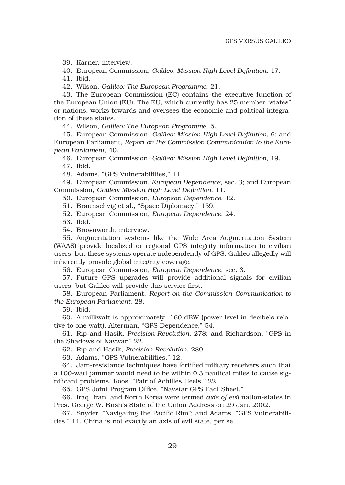39. Karner, interview.

40. European Commission, *Galileo: Mission High Level Definition*, 17.

41. Ibid.

42. Wilson, *Galileo: The European Programme*, 21.

43. The European Commission (EC) contains the executive function of the European Union (EU). The EU, which currently has 25 member "states" or nations, works towards and oversees the economic and political integration of these states.

44. Wilson, *Galileo: The European Programme*, 5.

45. European Commission, *Galileo: Mission High Level Definition*, 6; and European Parliament, *Report on the Commission Communication to the European Parliament*, 40.

46. European Commission, *Galileo: Mission High Level Definition*, 19.

47. Ibid.

48. Adams, "GPS Vulnerabilities," 11.

49. European Commission, *European Dependence*, sec. 3; and European Commission, *Galileo: Mission High Level Definition*, 11.

50. European Commission, *European Dependence*, 12.

51. Braunschvig et al., "Space Diplomacy," 159.

52. European Commission, *European Dependence*, 24.

53. Ibid.

54. Brownworth, interview.

55. Augmentation systems like the Wide Area Augmentation System (WAAS) provide localized or regional GPS integrity information to civilian users, but these systems operate independently of GPS. Galileo allegedly will inherently provide global integrity coverage.

56. European Commission, *European Dependence*, sec. 3.

57. Future GPS upgrades will provide additional signals for civilian users, but Galileo will provide this service first.

58. European Parliament, *Report on the Commission Communication to the European Parliament*, 28.

59. Ibid.

60. A milliwatt is approximately -160 dBW (power level in decibels relative to one watt). Alterman, "GPS Dependence," 54.

61. Rip and Hasik, *Precision Revolution*, 278; and Richardson, "GPS in the Shadows of Navwar," 22.

62. Rip and Hasik, *Precision Revolution*, 280.

63. Adams, "GPS Vulnerabilities," 12.

64. Jam-resistance techniques have fortified military receivers such that a 100-watt jammer would need to be within 0.3 nautical miles to cause significant problems. Roos, "Pair of Achilles Heels," 22.

65. GPS Joint Program Office, "Navstar GPS Fact Sheet."

66. Iraq, Iran, and North Korea were termed *axis of evil* nation-states in Pres. George W. Bush's State of the Union Address on 29 Jan. 2002.

67. Snyder, "Navigating the Pacific Rim"; and Adams, "GPS Vulnerabilities," 11. China is not exactly an axis of evil state, per se.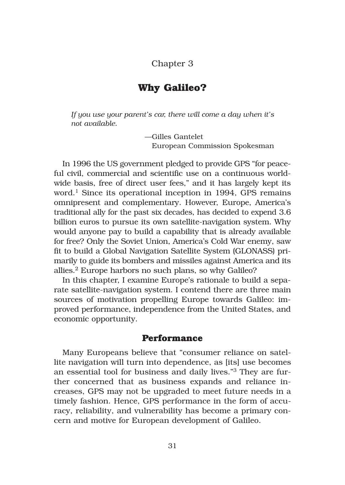## Chapter 3

# **Why Galileo?**

*If you use your parent's car, there will come a day when it's not available.* 

> —Gilles Gantelet —European Commission Spokesman

In 1996 the US government pledged to provide GPS "for peaceful civil, commercial and scientific use on a continuous worldwide basis, free of direct user fees," and it has largely kept its word.<sup>1</sup> Since its operational inception in 1994, GPS remains omnipresent and complementary. However, Europe, America's traditional ally for the past six decades, has decided to expend 3.6 billion euros to pursue its own satellite-navigation system. Why would anyone pay to build a capability that is already available for free? Only the Soviet Union, America's Cold War enemy, saw fit to build a Global Navigation Satellite System (GLONASS) primarily to guide its bombers and missiles against America and its allies.2 Europe harbors no such plans, so why Galileo?

In this chapter, I examine Europe's rationale to build a separate satellite-navigation system. I contend there are three main sources of motivation propelling Europe towards Galileo: improved performance, independence from the United States, and economic opportunity.

### **Performance**

Many Europeans believe that "consumer reliance on satellite navigation will turn into dependence, as [its] use becomes an essential tool for business and daily lives."3 They are further concerned that as business expands and reliance increases, GPS may not be upgraded to meet future needs in a timely fashion. Hence, GPS performance in the form of accuracy, reliability, and vulnerability has become a primary concern and motive for European development of Galileo.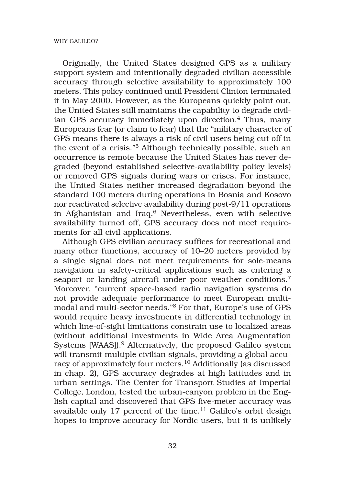Originally, the United States designed GPS as a military support system and intentionally degraded civilian-accessible accuracy through selective availability to approximately 100 meters. This policy continued until President Clinton terminated it in May 2000. However, as the Europeans quickly point out, the United States still maintains the capability to degrade civilian GPS accuracy immediately upon direction.4 Thus, many Europeans fear (or claim to fear) that the "military character of GPS means there is always a risk of civil users being cut off in the event of a crisis."5 Although technically possible, such an occurrence is remote because the United States has never degraded (beyond established selective-availability policy levels) or removed GPS signals during wars or crises. For instance, the United States neither increased degradation beyond the standard 100 meters during operations in Bosnia and Kosovo nor reactivated selective availability during post-9/11 operations in Afghanistan and Iraq.6 Nevertheless, even with selective availability turned off, GPS accuracy does not meet requirements for all civil applications.

Although GPS civilian accuracy suffices for recreational and many other functions, accuracy of 10–20 meters provided by a single signal does not meet requirements for sole-means navigation in safety-critical applications such as entering a seaport or landing aircraft under poor weather conditions.<sup>7</sup> Moreover, "current space-based radio navigation systems do not provide adequate performance to meet European multimodal and multi-sector needs."8 For that, Europe's use of GPS would require heavy investments in differential technology in which line-of-sight limitations constrain use to localized areas (without additional investments in Wide Area Augmentation Systems [WAAS]).<sup>9</sup> Alternatively, the proposed Galileo system will transmit multiple civilian signals, providing a global accuracy of approximately four meters.10 Additionally (as discussed in chap. 2), GPS accuracy degrades at high latitudes and in urban settings. The Center for Transport Studies at Imperial College, London, tested the urban-canyon problem in the English capital and discovered that GPS five-meter accuracy was available only 17 percent of the time.<sup>11</sup> Galileo's orbit design hopes to improve accuracy for Nordic users, but it is unlikely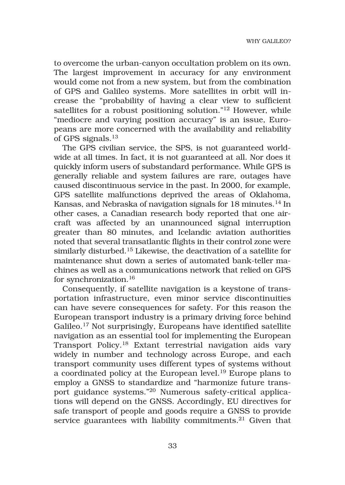to overcome the urban-canyon occultation problem on its own. The largest improvement in accuracy for any environment would come not from a new system, but from the combination of GPS and Galileo systems. More satellites in orbit will increase the "probability of having a clear view to sufficient satellites for a robust positioning solution."12 However, while "mediocre and varying position accuracy" is an issue, Europeans are more concerned with the availability and reliability of GPS signals.13

The GPS civilian service, the SPS, is not guaranteed worldwide at all times. In fact, it is not guaranteed at all. Nor does it quickly inform users of substandard performance. While GPS is generally reliable and system failures are rare, outages have caused discontinuous service in the past. In 2000, for example, GPS satellite malfunctions deprived the areas of Oklahoma, Kansas, and Nebraska of navigation signals for 18 minutes.<sup>14</sup> In other cases, a Canadian research body reported that one aircraft was affected by an unannounced signal interruption greater than 80 minutes, and Icelandic aviation authorities noted that several transatlantic flights in their control zone were similarly disturbed.<sup>15</sup> Likewise, the deactivation of a satellite for maintenance shut down a series of automated bank-teller machines as well as a communications network that relied on GPS for synchronization.<sup>16</sup>

Consequently, if satellite navigation is a keystone of transportation infrastructure, even minor service discontinuities can have severe consequences for safety. For this reason the European transport industry is a primary driving force behind Galileo.17 Not surprisingly, Europeans have identified satellite navigation as an essential tool for implementing the European Transport Policy.18 Extant terrestrial navigation aids vary widely in number and technology across Europe, and each transport community uses different types of systems without a coordinated policy at the European level.19 Europe plans to employ a GNSS to standardize and "harmonize future transport guidance systems."20 Numerous safety-critical applications will depend on the GNSS. Accordingly, EU directives for safe transport of people and goods require a GNSS to provide service guarantees with liability commitments.<sup>21</sup> Given that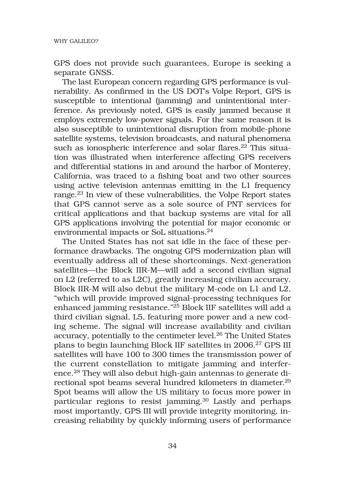GPS does not provide such guarantees, Europe is seeking a separate GNSS.

The last European concern regarding GPS performance is vulnerability. As confirmed in the US DOT's Volpe Report, GPS is susceptible to intentional (jamming) and unintentional interference. As previously noted, GPS is easily jammed because it employs extremely low-power signals. For the same reason it is also susceptible to unintentional disruption from mobile-phone satellite systems, television broadcasts, and natural phenomena such as ionospheric interference and solar flares.<sup>22</sup> This situation was illustrated when interference affecting GPS receivers and differential stations in and around the harbor of Monterey, California, was traced to a fishing boat and two other sources using active television antennas emitting in the L1 frequency range.23 In view of these vulnerabilities, the Volpe Report states that GPS cannot serve as a sole source of PNT services for critical applications and that backup systems are vital for all GPS applications involving the potential for major economic or environmental impacts or SoL situations.24

The United States has not sat idle in the face of these performance drawbacks. The ongoing GPS modernization plan will eventually address all of these shortcomings. Next-generation satellites—the Block IIR-M—will add a second civilian signal on L2 (referred to as L2C), greatly increasing civilian accuracy. Block IIR-M will also debut the military M-code on L1 and L2, "which will provide improved signal-processing techniques for enhanced jamming resistance."25 Block IIF satellites will add a third civilian signal, L5, featuring more power and a new coding scheme. The signal will increase availability and civilian accuracy, potentially to the centimeter level.26 The United States plans to begin launching Block IIF satellites in 2006.27 GPS III satellites will have 100 to 300 times the transmission power of the current constellation to mitigate jamming and interference.28 They will also debut high-gain antennas to generate directional spot beams several hundred kilometers in diameter.<sup>29</sup> Spot beams will allow the US military to focus more power in particular regions to resist jamming.<sup>30</sup> Lastly and perhaps most importantly, GPS III will provide integrity monitoring, increasing reliability by quickly informing users of performance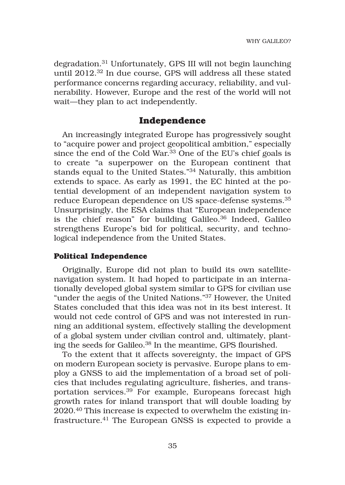degradation.31 Unfortunately, GPS III will not begin launching until 2012.32 In due course, GPS will address all these stated performance concerns regarding accuracy, reliability, and vulnerability. However, Europe and the rest of the world will not wait—they plan to act independently.

## **Independence**

An increasingly integrated Europe has progressively sought to "acquire power and project geopolitical ambition," especially since the end of the Cold War.<sup>33</sup> One of the EU's chief goals is to create "a superpower on the European continent that stands equal to the United States."34 Naturally, this ambition extends to space. As early as 1991, the EC hinted at the potential development of an independent navigation system to reduce European dependence on US space-defense systems.35 Unsurprisingly, the ESA claims that "European independence is the chief reason" for building Galileo.<sup>36</sup> Indeed, Galileo strengthens Europe's bid for political, security, and technological independence from the United States.

### **Political Independence**

Originally, Europe did not plan to build its own satellitenavigation system. It had hoped to participate in an internationally developed global system similar to GPS for civilian use "under the aegis of the United Nations."37 However, the United States concluded that this idea was not in its best interest. It would not cede control of GPS and was not interested in running an additional system, effectively stalling the development of a global system under civilian control and, ultimately, planting the seeds for Galileo.38 In the meantime, GPS flourished.

To the extent that it affects sovereignty, the impact of GPS on modern European society is pervasive. Europe plans to employ a GNSS to aid the implementation of a broad set of policies that includes regulating agriculture, fisheries, and transportation services.39 For example, Europeans forecast high growth rates for inland transport that will double loading by 2020.40 This increase is expected to overwhelm the existing infrastructure.41 The European GNSS is expected to provide a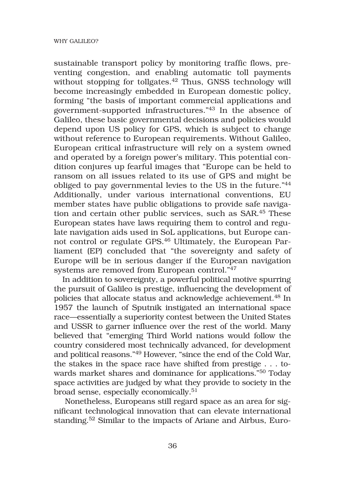#### WHY GALILEO?

sustainable transport policy by monitoring traffic flows, preventing congestion, and enabling automatic toll payments without stopping for tollgates.42 Thus, GNSS technology will become increasingly embedded in European domestic policy, forming "the basis of important commercial applications and government-supported infrastructures."43 In the absence of Galileo, these basic governmental decisions and policies would depend upon US policy for GPS, which is subject to change without reference to European requirements. Without Galileo, European critical infrastructure will rely on a system owned and operated by a foreign power's military. This potential condition conjures up fearful images that "Europe can be held to ransom on all issues related to its use of GPS and might be obliged to pay governmental levies to the US in the future."44 Additionally, under various international conventions, EU member states have public obligations to provide safe navigation and certain other public services, such as SAR.45 These European states have laws requiring them to control and regulate navigation aids used in SoL applications, but Europe cannot control or regulate GPS.46 Ultimately, the European Parliament (EP) concluded that "the sovereignty and safety of Europe will be in serious danger if the European navigation systems are removed from European control."47

In addition to sovereignty, a powerful political motive spurring the pursuit of Galileo is prestige, influencing the development of policies that allocate status and acknowledge achievement.48 In 1957 the launch of Sputnik instigated an international space race—essentially a superiority contest between the United States and USSR to garner influence over the rest of the world. Many believed that "emerging Third World nations would follow the country considered most technically advanced, for development and political reasons."49 However, "since the end of the Cold War, the stakes in the space race have shifted from prestige . . . towards market shares and dominance for applications."50 Today space activities are judged by what they provide to society in the broad sense, especially economically.51

Nonetheless, Europeans still regard space as an area for significant technological innovation that can elevate international standing.52 Similar to the impacts of Ariane and Airbus, Euro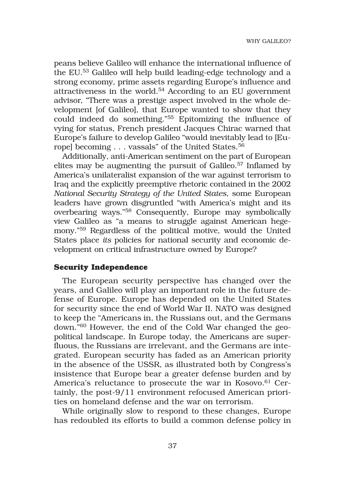peans believe Galileo will enhance the international influence of the EU.53 Galileo will help build leading-edge technology and a strong economy, prime assets regarding Europe's influence and attractiveness in the world.54 According to an EU government advisor, "There was a prestige aspect involved in the whole development [of Galileo], that Europe wanted to show that they could indeed do something."55 Epitomizing the influence of vying for status, French president Jacques Chirac warned that Europe's failure to develop Galileo "would inevitably lead to [Europe] becoming . . . vassals" of the United States.<sup>56</sup>

Additionally, anti-American sentiment on the part of European elites may be augmenting the pursuit of Galileo.<sup>57</sup> Inflamed by America's unilateralist expansion of the war against terrorism to Iraq and the explicitly preemptive rhetoric contained in the 2002 *National Security Strategy of the United States*, some European leaders have grown disgruntled "with America's might and its overbearing ways."58 Consequently, Europe may symbolically view Galileo as "a means to struggle against American hegemony."59 Regardless of the political motive, would the United States place *its* policies for national security and economic development on critical infrastructure owned by Europe?

### **Security Independence**

The European security perspective has changed over the years, and Galileo will play an important role in the future defense of Europe. Europe has depended on the United States for security since the end of World War II. NATO was designed to keep the "Americans in, the Russians out, and the Germans down."60 However, the end of the Cold War changed the geopolitical landscape. In Europe today, the Americans are superfluous, the Russians are irrelevant, and the Germans are integrated. European security has faded as an American priority in the absence of the USSR, as illustrated both by Congress's insistence that Europe bear a greater defense burden and by America's reluctance to prosecute the war in Kosovo.<sup>61</sup> Certainly, the post-9/11 environment refocused American priorities on homeland defense and the war on terrorism.

While originally slow to respond to these changes, Europe has redoubled its efforts to build a common defense policy in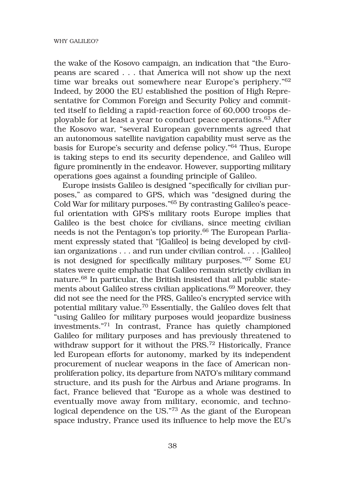the wake of the Kosovo campaign, an indication that "the Europeans are scared . . . that America will not show up the next time war breaks out somewhere near Europe's periphery."62 Indeed, by 2000 the EU established the position of High Representative for Common Foreign and Security Policy and committed itself to fielding a rapid-reaction force of 60,000 troops deployable for at least a year to conduct peace operations.63 After the Kosovo war, "several European governments agreed that an autonomous satellite navigation capability must serve as the basis for Europe's security and defense policy."64 Thus, Europe is taking steps to end its security dependence, and Galileo will figure prominently in the endeavor. However, supporting military operations goes against a founding principle of Galileo.

Europe insists Galileo is designed "specifically for civilian purposes," as compared to GPS, which was "designed during the Cold War for military purposes."65 By contrasting Galileo's peaceful orientation with GPS's military roots Europe implies that Galileo is the best choice for civilians, since meeting civilian needs is not the Pentagon's top priority.<sup>66</sup> The European Parliament expressly stated that "[Galileo] is being developed by civilian organizations . . . and run under civilian control. . . . [Galileo] is not designed for specifically military purposes."67 Some EU states were quite emphatic that Galileo remain strictly civilian in nature.68 In particular, the British insisted that all public statements about Galileo stress civilian applications.<sup>69</sup> Moreover, they did not see the need for the PRS, Galileo's encrypted service with potential military value.70 Essentially, the Galileo doves felt that "using Galileo for military purposes would jeopardize business investments."71 In contrast, France has quietly championed Galileo for military purposes and has previously threatened to withdraw support for it without the PRS.<sup>72</sup> Historically, France led European efforts for autonomy, marked by its independent procurement of nuclear weapons in the face of American nonproliferation policy, its departure from NATO's military command structure, and its push for the Airbus and Ariane programs. In fact, France believed that "Europe as a whole was destined to eventually move away from military, economic, and technological dependence on the US."73 As the giant of the European space industry, France used its influence to help move the EU's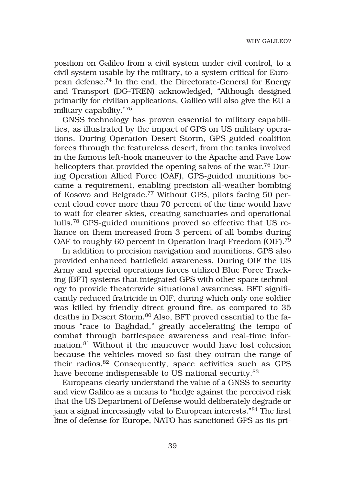position on Galileo from a civil system under civil control, to a civil system usable by the military, to a system critical for European defense.74 In the end, the Directorate-General for Energy and Transport (DG-TREN) acknowledged, "Although designed primarily for civilian applications, Galileo will also give the EU a military capability."75

GNSS technology has proven essential to military capabilities, as illustrated by the impact of GPS on US military operations. During Operation Desert Storm, GPS guided coalition forces through the featureless desert, from the tanks involved in the famous left-hook maneuver to the Apache and Pave Low helicopters that provided the opening salvos of the war.<sup>76</sup> During Operation Allied Force (OAF), GPS-guided munitions became a requirement, enabling precision all-weather bombing of Kosovo and Belgrade.77 Without GPS, pilots facing 50 percent cloud cover more than 70 percent of the time would have to wait for clearer skies, creating sanctuaries and operational lulls.78 GPS-guided munitions proved so effective that US reliance on them increased from 3 percent of all bombs during OAF to roughly 60 percent in Operation Iraqi Freedom (OIF).<sup>79</sup>

In addition to precision navigation and munitions, GPS also provided enhanced battlefield awareness. During OIF the US Army and special operations forces utilized Blue Force Tracking (BFT) systems that integrated GPS with other space technology to provide theaterwide situational awareness. BFT significantly reduced fratricide in OIF, during which only one soldier was killed by friendly direct ground fire, as compared to 35 deaths in Desert Storm.<sup>80</sup> Also, BFT proved essential to the famous "race to Baghdad," greatly accelerating the tempo of combat through battlespace awareness and real-time information.81 Without it the maneuver would have lost cohesion because the vehicles moved so fast they outran the range of their radios.82 Consequently, space activities such as GPS have become indispensable to US national security.<sup>83</sup>

Europeans clearly understand the value of a GNSS to security and view Galileo as a means to "hedge against the perceived risk that the US Department of Defense would deliberately degrade or jam a signal increasingly vital to European interests."84 The first line of defense for Europe, NATO has sanctioned GPS as its pri-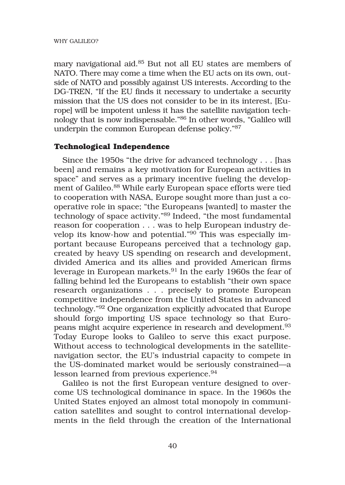#### WHY GALILEO?

mary navigational aid.85 But not all EU states are members of NATO. There may come a time when the EU acts on its own, outside of NATO and possibly against US interests. According to the DG-TREN, "If the EU finds it necessary to undertake a security mission that the US does not consider to be in its interest, [Europe] will be impotent unless it has the satellite navigation technology that is now indispensable."86 In other words, "Galileo will underpin the common European defense policy."87

### **Technological Independence**

Since the 1950s "the drive for advanced technology . . . [has been] and remains a key motivation for European activities in space" and serves as a primary incentive fueling the development of Galileo.<sup>88</sup> While early European space efforts were tied to cooperation with NASA, Europe sought more than just a cooperative role in space; "the Europeans [wanted] to master the technology of space activity."89 Indeed, "the most fundamental reason for cooperation . . . was to help European industry develop its know-how and potential."90 This was especially important because Europeans perceived that a technology gap, created by heavy US spending on research and development, divided America and its allies and provided American firms leverage in European markets.<sup>91</sup> In the early 1960s the fear of falling behind led the Europeans to establish "their own space research organizations . . . precisely to promote European competitive independence from the United States in advanced technology."92 One organization explicitly advocated that Europe should forgo importing US space technology so that Europeans might acquire experience in research and development.93 Today Europe looks to Galileo to serve this exact purpose. Without access to technological developments in the satellitenavigation sector, the EU's industrial capacity to compete in the US-dominated market would be seriously constrained—a lesson learned from previous experience.<sup>94</sup>

Galileo is not the first European venture designed to overcome US technological dominance in space. In the 1960s the United States enjoyed an almost total monopoly in communication satellites and sought to control international developments in the field through the creation of the International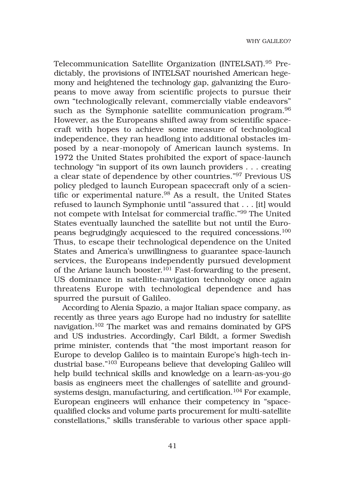Telecommunication Satellite Organization (INTELSAT).95 Predictably, the provisions of INTELSAT nourished American hegemony and heightened the technology gap, galvanizing the Europeans to move away from scientific projects to pursue their own "technologically relevant, commercially viable endeavors" such as the Symphonie satellite communication program.<sup>96</sup> However, as the Europeans shifted away from scientific spacecraft with hopes to achieve some measure of technological independence, they ran headlong into additional obstacles imposed by a near-monopoly of American launch systems. In 1972 the United States prohibited the export of space-launch technology "in support of its own launch providers . . . creating a clear state of dependence by other countries."97 Previous US policy pledged to launch European spacecraft only of a scientific or experimental nature. $98$  As a result, the United States refused to launch Symphonie until "assured that . . . [it] would not compete with Intelsat for commercial traffic."99 The United States eventually launched the satellite but not until the Europeans begrudgingly acquiesced to the required concessions.100 Thus, to escape their technological dependence on the United States and America's unwillingness to guarantee space-launch services, the Europeans independently pursued development of the Ariane launch booster.<sup>101</sup> Fast-forwarding to the present, US dominance in satellite-navigation technology once again threatens Europe with technological dependence and has spurred the pursuit of Galileo.

According to Alenia Spazio, a major Italian space company, as recently as three years ago Europe had no industry for satellite navigation.102 The market was and remains dominated by GPS and US industries. Accordingly, Carl Bildt, a former Swedish prime minister, contends that "the most important reason for Europe to develop Galileo is to maintain Europe's high-tech industrial base."103 Europeans believe that developing Galileo will help build technical skills and knowledge on a learn-as-you-go basis as engineers meet the challenges of satellite and groundsystems design, manufacturing, and certification.<sup>104</sup> For example, European engineers will enhance their competency in "spacequalified clocks and volume parts procurement for multi-satellite constellations," skills transferable to various other space appli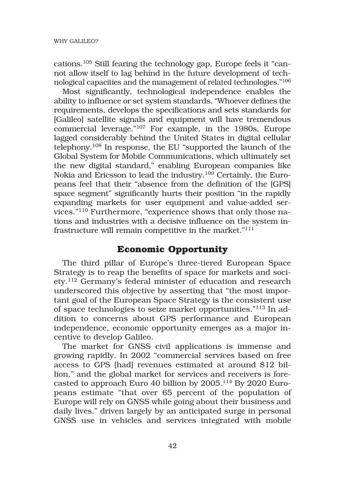cations.105 Still fearing the technology gap, Europe feels it "cannot allow itself to lag behind in the future development of technological capacities and the management of related technologies."106

Most significantly, technological independence enables the ability to influence or set system standards. "Whoever defines the requirements, develops the specifications and sets standards for [Galileo] satellite signals and equipment will have tremendous commercial leverage."107 For example, in the 1980s, Europe lagged considerably behind the United States in digital cellular telephony.108 In response, the EU "supported the launch of the Global System for Mobile Communications, which ultimately set the new digital standard," enabling European companies like Nokia and Ericsson to lead the industry.109 Certainly, the Europeans feel that their "absence from the definition of the [GPS] space segment" significantly hurts their position "in the rapidly expanding markets for user equipment and value-added services."110 Furthermore, "experience shows that only those nations and industries with a decisive influence on the system infrastructure will remain competitive in the market."111

# **Economic Opportunity**

The third pillar of Europe's three-tiered European Space Strategy is to reap the benefits of space for markets and society.112 Germany's federal minister of education and research underscored this objective by asserting that "the most important goal of the European Space Strategy is the consistent use of space technologies to seize market opportunities."113 In addition to concerns about GPS performance and European independence, economic opportunity emerges as a major incentive to develop Galileo.

The market for GNSS civil applications is immense and growing rapidly. In 2002 "commercial services based on free access to GPS [had] revenues estimated at around \$12 billion," and the global market for services and receivers is forecasted to approach Euro 40 billion by 2005.114 By 2020 Europeans estimate "that over 65 percent of the population of Europe will rely on GNSS while going about their business and daily lives," driven largely by an anticipated surge in personal GNSS use in vehicles and services integrated with mobile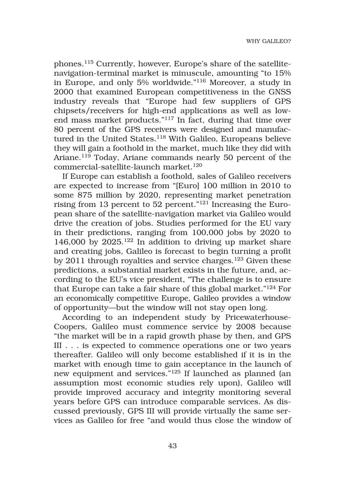phones.115 Currently, however, Europe's share of the satellitenavigation-terminal market is minuscule, amounting "to 15% in Europe, and only 5% worldwide."116 Moreover, a study in 2000 that examined European competitiveness in the GNSS industry reveals that "Europe had few suppliers of GPS chipsets/receivers for high-end applications as well as lowend mass market products."117 In fact, during that time over 80 percent of the GPS receivers were designed and manufactured in the United States.<sup>118</sup> With Galileo, Europeans believe they will gain a foothold in the market, much like they did with Ariane.<sup>119</sup> Today, Ariane commands nearly 50 percent of the commercial-satellite-launch market.<sup>120</sup>

If Europe can establish a foothold, sales of Galileo receivers are expected to increase from "[Euro] 100 million in 2010 to some 875 million by 2020, representing market penetration rising from 13 percent to 52 percent."121 Increasing the European share of the satellite-navigation market via Galileo would drive the creation of jobs. Studies performed for the EU vary in their predictions, ranging from 100,000 jobs by 2020 to 146,000 by 2025.<sup>122</sup> In addition to driving up market share and creating jobs, Galileo is forecast to begin turning a profit by 2011 through royalties and service charges.<sup>123</sup> Given these predictions, a substantial market exists in the future, and, according to the EU's vice president, "The challenge is to ensure that Europe can take a fair share of this global market."124 For an economically competitive Europe, Galileo provides a window of opportunity—but the window will not stay open long.

According to an independent study by Pricewaterhouse-Coopers, Galileo must commence service by 2008 because "the market will be in a rapid growth phase by then, and GPS III . . . is expected to commence operations one or two years thereafter. Galileo will only become established if it is in the market with enough time to gain acceptance in the launch of new equipment and services."125 If launched as planned (an assumption most economic studies rely upon), Galileo will provide improved accuracy and integrity monitoring several years before GPS can introduce comparable services. As discussed previously, GPS III will provide virtually the same services as Galileo for free "and would thus close the window of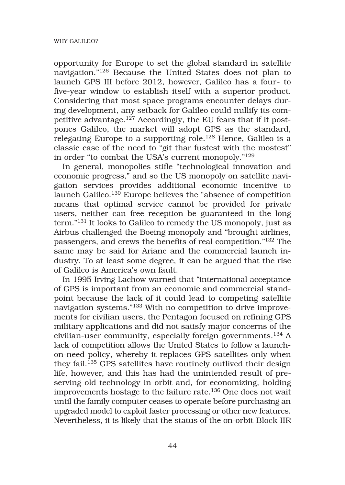opportunity for Europe to set the global standard in satellite navigation."126 Because the United States does not plan to launch GPS III before 2012, however, Galileo has a four- to five-year window to establish itself with a superior product. Considering that most space programs encounter delays during development, any setback for Galileo could nullify its competitive advantage.127 Accordingly, the EU fears that if it postpones Galileo, the market will adopt GPS as the standard, relegating Europe to a supporting role.<sup>128</sup> Hence, Galileo is a classic case of the need to "git thar fustest with the mostest" in order "to combat the USA's current monopoly."129

In general, monopolies stifle "technological innovation and economic progress," and so the US monopoly on satellite navigation services provides additional economic incentive to launch Galileo.<sup>130</sup> Europe believes the "absence of competition means that optimal service cannot be provided for private users, neither can free reception be guaranteed in the long term."131 It looks to Galileo to remedy the US monopoly, just as Airbus challenged the Boeing monopoly and "brought airlines, passengers, and crews the benefits of real competition."132 The same may be said for Ariane and the commercial launch industry. To at least some degree, it can be argued that the rise of Galileo is America's own fault.

In 1995 Irving Lachow warned that "international acceptance of GPS is important from an economic and commercial standpoint because the lack of it could lead to competing satellite navigation systems."133 With no competition to drive improvements for civilian users, the Pentagon focused on refining GPS military applications and did not satisfy major concerns of the civilian-user community, especially foreign governments.134 A lack of competition allows the United States to follow a launchon-need policy, whereby it replaces GPS satellites only when they fail.<sup>135</sup> GPS satellites have routinely outlived their design life, however, and this has had the unintended result of preserving old technology in orbit and, for economizing, holding improvements hostage to the failure rate.136 One does not wait until the family computer ceases to operate before purchasing an upgraded model to exploit faster processing or other new features. Nevertheless, it is likely that the status of the on-orbit Block IIR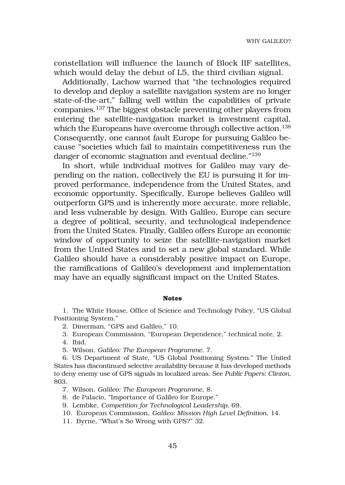constellation will influence the launch of Block IIF satellites, which would delay the debut of L5, the third civilian signal.

Additionally, Lachow warned that "the technologies required to develop and deploy a satellite navigation system are no longer state-of-the-art," falling well within the capabilities of private companies.137 The biggest obstacle preventing other players from entering the satellite-navigation market is investment capital, which the Europeans have overcome through collective action.<sup>138</sup> Consequently, one cannot fault Europe for pursuing Galileo because "societies which fail to maintain competitiveness run the danger of economic stagnation and eventual decline."<sup>139</sup>

In short, while individual motives for Galileo may vary depending on the nation, collectively the EU is pursuing it for improved performance, independence from the United States, and economic opportunity. Specifically, Europe believes Galileo will outperform GPS and is inherently more accurate, more reliable, and less vulnerable by design. With Galileo, Europe can secure a degree of political, security, and technological independence from the United States. Finally, Galileo offers Europe an economic window of opportunity to seize the satellite-navigation market from the United States and to set a new global standard. While Galileo should have a considerably positive impact on Europe, the ramifications of Galileo's development and implementation may have an equally significant impact on the United States.

### **Notes**

1. The White House, Office of Science and Technology Policy, "US Global Positioning System."

- 2. Dinerman, "GPS and Galileo," 10.
- 3. European Commission, "European Dependence," technical note, 2.
- 4. Ibid.
- 5. Wilson, *Galileo: The European Programme*, 7.

6. US Department of State, "US Global Positioning System." The United States has discontinued selective availability because it has developed methods to deny enemy use of GPS signals in localized areas. See *Public Papers: Clinton*, 803.

- 7. Wilson, *Galileo: The European Programme*, 8.
- 8. de Palacio, "Importance of Galileo for Europe."
- 9. Lembke, *Competition for Technological Leadership,* 69.
- 10. European Commission, *Galileo: Mission High Level Definition*, 14.
- 11. Byrne, "What's So Wrong with GPS?" 32.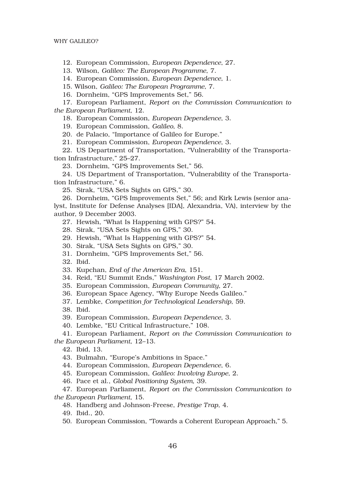12. European Commission, *European Dependence*, 27.

13. Wilson, *Galileo: The European Programme*, 7.

14. European Commission, *European Dependence*, 1.

15. Wilson, *Galileo: The European Programme*, 7.

16. Dornheim, "GPS Improvements Set," 56.

17. European Parliament, *Report on the Commission Communication to the European Parliament*, 12.

18. European Commission, *European Dependence*, 3.

19. European Commission, *Galileo*, 8.

20. de Palacio, "Importance of Galileo for Europe."

21. European Commission, *European Dependence*, 3.

22. US Department of Transportation, "Vulnerability of the Transportation Infrastructure," 25–27.

23. Dornheim, "GPS Improvements Set," 56.

24. US Department of Transportation, "Vulnerability of the Transportation Infrastructure," 6.

25. Sirak, "USA Sets Sights on GPS," 30.

26. Dornheim, "GPS Improvements Set," 56; and Kirk Lewis (senior analyst, Institute for Defense Analyses [IDA], Alexandria, VA), interview by the author, 9 December 2003.

27. Hewish, "What Is Happening with GPS?" 54.

28. Sirak, "USA Sets Sights on GPS," 30.

29. Hewish, "What Is Happening with GPS?" 54.

30. Sirak, "USA Sets Sights on GPS," 30.

31. Dornheim, "GPS Improvements Set," 56.

32. Ibid.

33. Kupchan, *End of the American Era*, 151.

34. Reid, "EU Summit Ends," *Washington Post*, 17 March 2002.

35. European Commission, *European Community*, 27.

36. European Space Agency, "Why Europe Needs Galileo."

37. Lembke, *Competition for Technological Leadership*, 59.

38. Ibid.

39. European Commission, *European Dependence*, 3.

40. Lembke, "EU Critical Infrastructure," 108.

41. European Parliament, *Report on the Commission Communication to the European Parliament*, 12–13.

42. Ibid, 13.

43. Bulmahn, "Europe's Ambitions in Space."

44. European Commission, *European Dependence*, 6.

45. European Commission, *Galileo: Involving Europe*, 2.

46. Pace et al., *Global Positioning System*, 39.

47. European Parliament, *Report on the Commission Communication to the European Parliament*, 15.

48. Handberg and Johnson-Freese, *Prestige Trap*, 4.

49. Ibid., 20.

50. European Commission, "Towards a Coherent European Approach," 5.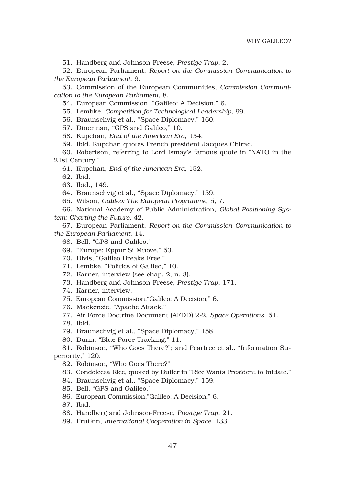51. Handberg and Johnson-Freese, *Prestige Trap*, 2.

52. European Parliament, *Report on the Commission Communication to the European Parliament*, 9.

53. Commission of the European Communities, *Commission Communication to the European Parliament*, 8.

54. European Commission, "Galileo: A Decision," 6.

55. Lembke, *Competition for Technological Leadership*, 99.

56. Braunschvig et al., "Space Diplomacy," 160.

57. Dinerman, "GPS and Galileo," 10.

58. Kupchan, *End of the American Era*, 154.

59. Ibid. Kupchan quotes French president Jacques Chirac.

60. Robertson, referring to Lord Ismay's famous quote in "NATO in the 21st Century."

61. Kupchan, *End of the American Era*, 152.

62. Ibid.

63. Ibid., 149.

64. Braunschvig et al., "Space Diplomacy," 159.

65. Wilson, *Galileo: The European Programme*, 5, 7.

66. National Academy of Public Administration, *Global Positioning System: Charting the Future*, 42.

67. European Parliament, *Report on the Commission Communication to the European Parliament*, 14.

68. Bell, "GPS and Galileo."

69. "Europe: Eppur Si Muove," 53.

70. Divis, "Galileo Breaks Free."

71. Lembke, "Politics of Galileo," 10.

72. Karner, interview (see chap. 2, n. 3).

73. Handberg and Johnson-Freese, *Prestige Trap*, 171.

74. Karner, interview.

75. European Commission,"Galileo: A Decision," 6.

76. Mackenzie, "Apache Attack."

77. Air Force Doctrine Document (AFDD) 2-2, *Space Operations*, 51.

78. Ibid.

79. Braunschvig et al., "Space Diplomacy," 158.

80. Dunn, "Blue Force Tracking," 11.

81. Robinson, "Who Goes There?"; and Peartree et al., "Information Superiority," 120.

82. Robinson, "Who Goes There?"

83. Condoleeza Rice, quoted by Butler in "Rice Wants President to Initiate."

84. Braunschvig et al., "Space Diplomacy," 159.

85. Bell, "GPS and Galileo."

86. European Commission,"Galileo: A Decision," 6.

87. Ibid.

88. Handberg and Johnson-Freese, *Prestige Trap*, 21.

89. Frutkin, *International Cooperation in Space*, 133.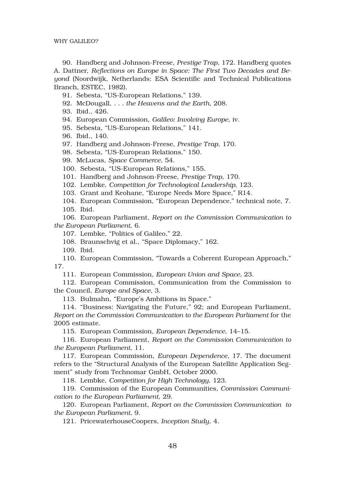WHY GALILEO?

90. Handberg and Johnson-Freese, *Prestige Trap*, 172. Handberg quotes A. Dattner, *Reflections on Europe in Space: The First Two Decades and Beyond* (Noordwijk, Netherlands: ESA Scientific and Technical Publications Branch, ESTEC, 1982).

91. Sebesta, "US-European Relations," 139.

92. McDougall, *. . . the Heavens and the Earth*, 208.

93. Ibid., 426.

94. European Commission, *Galileo: Involving Europe*, iv.

95. Sebesta, "US-European Relations," 141.

96. Ibid., 140.

97. Handberg and Johnson-Freese, *Prestige Trap*, 170.

98. Sebesta, "US-European Relations," 150.

99. McLucas, *Space Commerce*, 54.

100. Sebesta, "US-European Relations," 155.

101. Handberg and Johnson-Freese, *Prestige Trap*, 170.

102. Lembke, *Competition for Technological Leadership*, 123.

103. Grant and Keohane, "Europe Needs More Space," R14.

104. European Commission, "European Dependence," technical note, 7. 105. Ibid.

106. European Parliament, *Report on the Commission Communication to the European Parliament*, 6.

107. Lembke, "Politics of Galileo," 22.

108. Braunschvig et al., "Space Diplomacy," 162.

109. Ibid.

110. European Commission, "Towards a Coherent European Approach," 17.

111. European Commission, *European Union and Space*, 23.

112. European Commission, Communication from the Commission to the Council, *Europe and Space*, 3.

113. Bulmahn, "Europe's Ambitions in Space."

114. "Business: Navigating the Future," 92; and European Parliament, *Report on the Commission Communication to the European Parliament* for the 2005 estimate.

115. European Commission, *European Dependence*, 14–15.

116. European Parliament, *Report on the Commission Communication to the European Parliament*, 11.

117. European Commission, *European Dependence,* 17. The document refers to the "Structural Analysis of the European Satellite Application Segment" study from Technomar GmbH, October 2000.

118. Lembke, *Competition for High Technology*, 123.

119. Commission of the European Communities, *Commission Communication to the European Parliament*, 29.

120. European Parliament, *Report on the Commission Communication to the European Parliament*, 9.

121. PricewaterhouseCoopers, *Inception Study*, 4.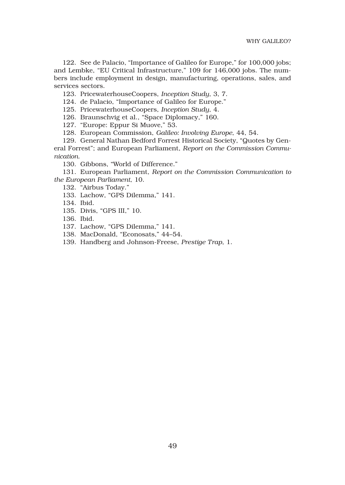122. See de Palacio, "Importance of Galileo for Europe," for 100,000 jobs; and Lembke, "EU Critical Infrastructure," 109 for 146,000 jobs. The numbers include employment in design, manufacturing, operations, sales, and services sectors.

123. PricewaterhouseCoopers, *Inception Study*, 3, 7.

124. de Palacio, "Importance of Galileo for Europe."

125. PricewaterhouseCoopers, *Inception Study*, 4.

126. Braunschvig et al., "Space Diplomacy," 160.

127. "Europe: Eppur Si Muove," 53.

128. European Commission, *Galileo: Involving Europe*, 44, 54.

129. General Nathan Bedford Forrest Historical Society, "Quotes by General Forrest"; and European Parliament, *Report on the Commission Communication*.

130. Gibbons, "World of Difference."

131. European Parliament, *Report on the Commission Communication to the European Parliament*, 10.

132. "Airbus Today."

133. Lachow, "GPS Dilemma," 141.

134. Ibid.

135. Divis, "GPS III," 10.

136. Ibid.

137. Lachow, "GPS Dilemma," 141.

138. MacDonald, "Econosats," 44–54.

139. Handberg and Johnson-Freese, *Prestige Trap*, 1.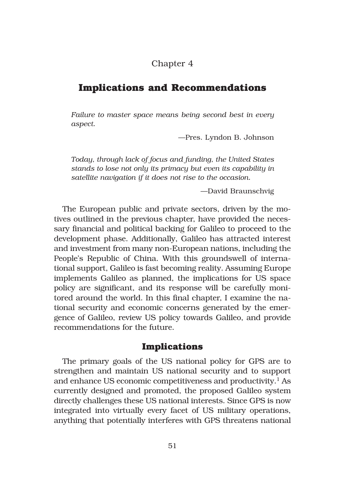## Chapter 4

# **Implications and Recommendations**

*Failure to master space means being second best in every aspect.*

—Pres. Lyndon B. Johnson

*Today, through lack of focus and funding, the United States stands to lose not only its primacy but even its capability in satellite navigation if it does not rise to the occasion.*

—David Braunschvig

The European public and private sectors, driven by the motives outlined in the previous chapter, have provided the necessary financial and political backing for Galileo to proceed to the development phase. Additionally, Galileo has attracted interest and investment from many non-European nations, including the People's Republic of China. With this groundswell of international support, Galileo is fast becoming reality. Assuming Europe implements Galileo as planned, the implications for US space policy are significant, and its response will be carefully monitored around the world. In this final chapter, I examine the national security and economic concerns generated by the emergence of Galileo, review US policy towards Galileo, and provide recommendations for the future.

### **Implications**

The primary goals of the US national policy for GPS are to strengthen and maintain US national security and to support and enhance US economic competitiveness and productivity.<sup>1</sup> As currently designed and promoted, the proposed Galileo system directly challenges these US national interests. Since GPS is now integrated into virtually every facet of US military operations, anything that potentially interferes with GPS threatens national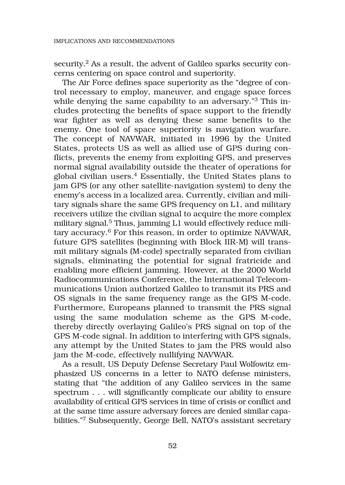security.<sup>2</sup> As a result, the advent of Galileo sparks security concerns centering on space control and superiority.

The Air Force defines space superiority as the "degree of control necessary to employ, maneuver, and engage space forces while denying the same capability to an adversary."3 This includes protecting the benefits of space support to the friendly war fighter as well as denying these same benefits to the enemy. One tool of space superiority is navigation warfare. The concept of NAVWAR, initiated in 1996 by the United States, protects US as well as allied use of GPS during conflicts, prevents the enemy from exploiting GPS, and preserves normal signal availability outside the theater of operations for global civilian users. $4$  Essentially, the United States plans to jam GPS (or any other satellite-navigation system) to deny the enemy's access in a localized area. Currently, civilian and military signals share the same GPS frequency on L1, and military receivers utilize the civilian signal to acquire the more complex military signal.5 Thus, jamming L1 would effectively reduce military accuracy.6 For this reason, in order to optimize NAVWAR, future GPS satellites (beginning with Block IIR-M) will transmit military signals (M-code) spectrally separated from civilian signals, eliminating the potential for signal fratricide and enabling more efficient jamming. However, at the 2000 World Radiocommunications Conference, the International Telecommunications Union authorized Galileo to transmit its PRS and OS signals in the same frequency range as the GPS M-code. Furthermore, Europeans planned to transmit the PRS signal using the same modulation scheme as the GPS M-code, thereby directly overlaying Galileo's PRS signal on top of the GPS M-code signal. In addition to interfering with GPS signals, any attempt by the United States to jam the PRS would also jam the M-code, effectively nullifying NAVWAR.

As a result, US Deputy Defense Secretary Paul Wolfowitz emphasized US concerns in a letter to NATO defense ministers, stating that "the addition of any Galileo services in the same spectrum . . . will significantly complicate our ability to ensure availability of critical GPS services in time of crisis or conflict and at the same time assure adversary forces are denied similar capabilities."7 Subsequently, George Bell, NATO's assistant secretary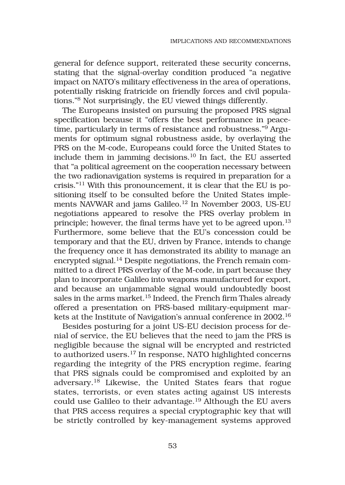general for defence support, reiterated these security concerns, stating that the signal-overlay condition produced "a negative impact on NATO's military effectiveness in the area of operations, potentially risking fratricide on friendly forces and civil populations."8 Not surprisingly, the EU viewed things differently.

The Europeans insisted on pursuing the proposed PRS signal specification because it "offers the best performance in peacetime, particularly in terms of resistance and robustness."<sup>9</sup> Arguments for optimum signal robustness aside, by overlaying the PRS on the M-code, Europeans could force the United States to include them in jamming decisions.10 In fact, the EU asserted that "a political agreement on the cooperation necessary between the two radionavigation systems is required in preparation for a crisis."11 With this pronouncement, it is clear that the EU is positioning itself to be consulted before the United States implements NAVWAR and jams Galileo.<sup>12</sup> In November 2003, US-EU negotiations appeared to resolve the PRS overlay problem in principle; however, the final terms have yet to be agreed upon.13 Furthermore, some believe that the EU's concession could be temporary and that the EU, driven by France, intends to change the frequency once it has demonstrated its ability to manage an encrypted signal.<sup>14</sup> Despite negotiations, the French remain committed to a direct PRS overlay of the M-code, in part because they plan to incorporate Galileo into weapons manufactured for export, and because an unjammable signal would undoubtedly boost sales in the arms market.<sup>15</sup> Indeed, the French firm Thales already offered a presentation on PRS-based military-equipment markets at the Institute of Navigation's annual conference in 2002.16

Besides posturing for a joint US-EU decision process for denial of service, the EU believes that the need to jam the PRS is negligible because the signal will be encrypted and restricted to authorized users.17 In response, NATO highlighted concerns regarding the integrity of the PRS encryption regime, fearing that PRS signals could be compromised and exploited by an adversary.18 Likewise, the United States fears that rogue states, terrorists, or even states acting against US interests could use Galileo to their advantage.19 Although the EU avers that PRS access requires a special cryptographic key that will be strictly controlled by key-management systems approved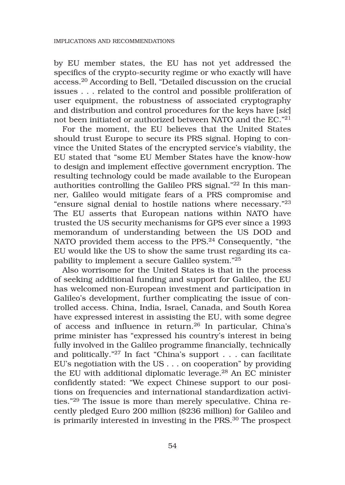by EU member states, the EU has not yet addressed the specifics of the crypto-security regime or who exactly will have access.20 According to Bell, "Detailed discussion on the crucial issues . . . related to the control and possible proliferation of user equipment, the robustness of associated cryptography and distribution and control procedures for the keys have [*sic*] not been initiated or authorized between NATO and the EC."<sup>21</sup>

For the moment, the EU believes that the United States should trust Europe to secure its PRS signal. Hoping to convince the United States of the encrypted service's viability, the EU stated that "some EU Member States have the know-how to design and implement effective government encryption. The resulting technology could be made available to the European authorities controlling the Galileo PRS signal."22 In this manner, Galileo would mitigate fears of a PRS compromise and "ensure signal denial to hostile nations where necessary."23 The EU asserts that European nations within NATO have trusted the US security mechanisms for GPS ever since a 1993 memorandum of understanding between the US DOD and NATO provided them access to the PPS.24 Consequently, "the EU would like the US to show the same trust regarding its capability to implement a secure Galileo system."<sup>25</sup>

Also worrisome for the United States is that in the process of seeking additional funding and support for Galileo, the EU has welcomed non-European investment and participation in Galileo's development, further complicating the issue of controlled access. China, India, Israel, Canada, and South Korea have expressed interest in assisting the EU, with some degree of access and influence in return.26 In particular, China's prime minister has "expressed his country's interest in being fully involved in the Galileo programme financially, technically and politically."27 In fact "China's support . . . can facilitate EU's negotiation with the US . . . on cooperation" by providing the EU with additional diplomatic leverage.<sup>28</sup> An EC minister confidently stated: "We expect Chinese support to our positions on frequencies and international standardization activities."29 The issue is more than merely speculative. China recently pledged Euro 200 million (\$236 million) for Galileo and is primarily interested in investing in the PRS.30 The prospect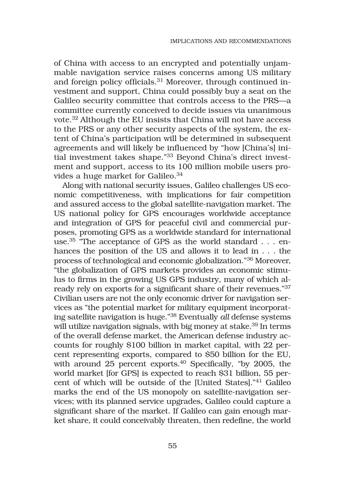of China with access to an encrypted and potentially unjammable navigation service raises concerns among US military and foreign policy officials.31 Moreover, through continued investment and support, China could possibly buy a seat on the Galileo security committee that controls access to the PRS—a committee currently conceived to decide issues via unanimous vote.32 Although the EU insists that China will not have access to the PRS or any other security aspects of the system, the extent of China's participation will be determined in subsequent agreements and will likely be influenced by "how [China's] initial investment takes shape."33 Beyond China's direct investment and support, access to its 100 million mobile users provides a huge market for Galileo.<sup>34</sup>

Along with national security issues, Galileo challenges US economic competitiveness, with implications for fair competition and assured access to the global satellite-navigation market. The US national policy for GPS encourages worldwide acceptance and integration of GPS for peaceful civil and commercial purposes, promoting GPS as a worldwide standard for international use.<sup>35</sup> "The acceptance of GPS as the world standard . . . enhances the position of the US and allows it to lead in . . . the process of technological and economic globalization."36 Moreover, "the globalization of GPS markets provides an economic stimulus to firms in the growing US GPS industry, many of which already rely on exports for a significant share of their revenues."37 Civilian users are not the only economic driver for navigation services as "the potential market for military equipment incorporating satellite navigation is huge."38 Eventually *all* defense systems will utilize navigation signals, with big money at stake.<sup>39</sup> In terms of the overall defense market, the American defense industry accounts for roughly \$100 billion in market capital, with 22 percent representing exports, compared to \$50 billion for the EU, with around 25 percent exports.<sup>40</sup> Specifically, "by 2005, the world market [for GPS] is expected to reach \$31 billion, 55 percent of which will be outside of the [United States]."41 Galileo marks the end of the US monopoly on satellite-navigation services; with its planned service upgrades, Galileo could capture a significant share of the market. If Galileo can gain enough market share, it could conceivably threaten, then redefine, the world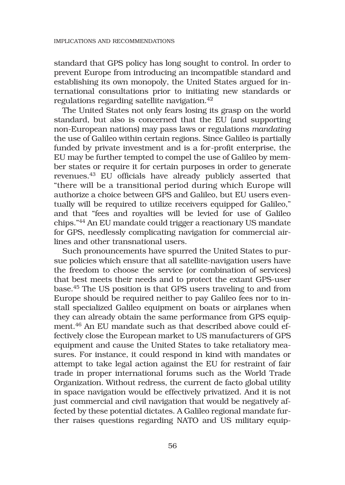standard that GPS policy has long sought to control. In order to prevent Europe from introducing an incompatible standard and establishing its own monopoly, the United States argued for international consultations prior to initiating new standards or regulations regarding satellite navigation.42

The United States not only fears losing its grasp on the world standard, but also is concerned that the EU (and supporting non-European nations) may pass laws or regulations *mandating* the use of Galileo within certain regions. Since Galileo is partially funded by private investment and is a for-profit enterprise, the EU may be further tempted to compel the use of Galileo by member states or require it for certain purposes in order to generate revenues.43 EU officials have already publicly asserted that "there will be a transitional period during which Europe will authorize a choice between GPS and Galileo, but EU users eventually will be required to utilize receivers equipped for Galileo," and that "fees and royalties will be levied for use of Galileo chips."44 An EU mandate could trigger a reactionary US mandate for GPS, needlessly complicating navigation for commercial airlines and other transnational users.

Such pronouncements have spurred the United States to pursue policies which ensure that all satellite-navigation users have the freedom to choose the service (or combination of services) that best meets their needs and to protect the extant GPS-user base.45 The US position is that GPS users traveling to and from Europe should be required neither to pay Galileo fees nor to install specialized Galileo equipment on boats or airplanes when they can already obtain the same performance from GPS equipment.46 An EU mandate such as that described above could effectively close the European market to US manufacturers of GPS equipment and cause the United States to take retaliatory measures. For instance, it could respond in kind with mandates or attempt to take legal action against the EU for restraint of fair trade in proper international forums such as the World Trade Organization. Without redress, the current de facto global utility in space navigation would be effectively privatized. And it is not just commercial and civil navigation that would be negatively affected by these potential dictates. A Galileo regional mandate further raises questions regarding NATO and US military equip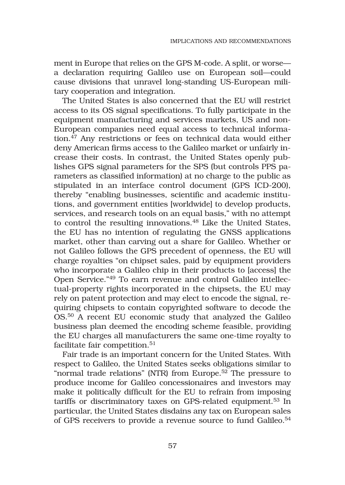ment in Europe that relies on the GPS M-code. A split, or worse a declaration requiring Galileo use on European soil—could cause divisions that unravel long-standing US-European military cooperation and integration.

The United States is also concerned that the EU will restrict access to its OS signal specifications. To fully participate in the equipment manufacturing and services markets, US and non-European companies need equal access to technical information.47 Any restrictions or fees on technical data would either deny American firms access to the Galileo market or unfairly increase their costs. In contrast, the United States openly publishes GPS signal parameters for the SPS (but controls PPS parameters as classified information) at no charge to the public as stipulated in an interface control document (GPS ICD-200), thereby "enabling businesses, scientific and academic institutions, and government entities [worldwide] to develop products, services, and research tools on an equal basis," with no attempt to control the resulting innovations.<sup>48</sup> Like the United States, the EU has no intention of regulating the GNSS applications market, other than carving out a share for Galileo. Whether or not Galileo follows the GPS precedent of openness, the EU will charge royalties "on chipset sales, paid by equipment providers who incorporate a Galileo chip in their products to [access] the Open Service."49 To earn revenue and control Galileo intellectual-property rights incorporated in the chipsets, the EU may rely on patent protection and may elect to encode the signal, requiring chipsets to contain copyrighted software to decode the OS.50 A recent EU economic study that analyzed the Galileo business plan deemed the encoding scheme feasible, providing the EU charges all manufacturers the same one-time royalty to facilitate fair competition.<sup>51</sup>

Fair trade is an important concern for the United States. With respect to Galileo, the United States seeks obligations similar to "normal trade relations" (NTR) from Europe.<sup>52</sup> The pressure to produce income for Galileo concessionaires and investors may make it politically difficult for the EU to refrain from imposing tariffs or discriminatory taxes on GPS-related equipment.<sup>53</sup> In particular, the United States disdains any tax on European sales of GPS receivers to provide a revenue source to fund Galileo.54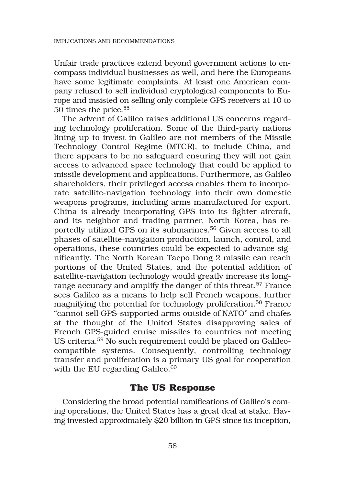Unfair trade practices extend beyond government actions to encompass individual businesses as well, and here the Europeans have some legitimate complaints. At least one American company refused to sell individual cryptological components to Europe and insisted on selling only complete GPS receivers at 10 to 50 times the price.55

The advent of Galileo raises additional US concerns regarding technology proliferation. Some of the third-party nations lining up to invest in Galileo are not members of the Missile Technology Control Regime (MTCR), to include China, and there appears to be no safeguard ensuring they will not gain access to advanced space technology that could be applied to missile development and applications. Furthermore, as Galileo shareholders, their privileged access enables them to incorporate satellite-navigation technology into their own domestic weapons programs, including arms manufactured for export. China is already incorporating GPS into its fighter aircraft, and its neighbor and trading partner, North Korea, has reportedly utilized GPS on its submarines.<sup>56</sup> Given access to all phases of satellite-navigation production, launch, control, and operations, these countries could be expected to advance significantly. The North Korean Taepo Dong 2 missile can reach portions of the United States, and the potential addition of satellite-navigation technology would greatly increase its longrange accuracy and amplify the danger of this threat.<sup>57</sup> France sees Galileo as a means to help sell French weapons, further magnifying the potential for technology proliferation.58 France "cannot sell GPS-supported arms outside of NATO" and chafes at the thought of the United States disapproving sales of French GPS-guided cruise missiles to countries not meeting US criteria.59 No such requirement could be placed on Galileocompatible systems. Consequently, controlling technology transfer and proliferation is a primary US goal for cooperation with the EU regarding Galileo. $60$ 

## **The US Response**

Considering the broad potential ramifications of Galileo's coming operations, the United States has a great deal at stake. Having invested approximately \$20 billion in GPS since its inception,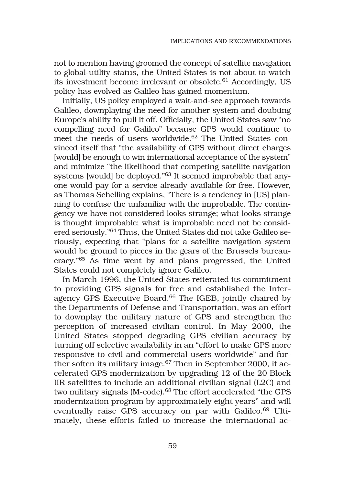not to mention having groomed the concept of satellite navigation to global-utility status, the United States is not about to watch its investment become irrelevant or obsolete.<sup>61</sup> Accordingly, US policy has evolved as Galileo has gained momentum.

Initially, US policy employed a wait-and-see approach towards Galileo, downplaying the need for another system and doubting Europe's ability to pull it off. Officially, the United States saw "no compelling need for Galileo" because GPS would continue to meet the needs of users worldwide.<sup>62</sup> The United States convinced itself that "the availability of GPS without direct charges [would] be enough to win international acceptance of the system" and minimize "the likelihood that competing satellite navigation systems [would] be deployed."63 It seemed improbable that anyone would pay for a service already available for free. However, as Thomas Schelling explains, "There is a tendency in [US] planning to confuse the unfamiliar with the improbable. The contingency we have not considered looks strange; what looks strange is thought improbable; what is improbable need not be considered seriously."64 Thus, the United States did not take Galileo seriously, expecting that "plans for a satellite navigation system would be ground to pieces in the gears of the Brussels bureaucracy."65 As time went by and plans progressed, the United States could not completely ignore Galileo.

In March 1996, the United States reiterated its commitment to providing GPS signals for free and established the Interagency GPS Executive Board.<sup>66</sup> The IGEB, jointly chaired by the Departments of Defense and Transportation, was an effort to downplay the military nature of GPS and strengthen the perception of increased civilian control. In May 2000, the United States stopped degrading GPS civilian accuracy by turning off selective availability in an "effort to make GPS more responsive to civil and commercial users worldwide" and further soften its military image.<sup>67</sup> Then in September 2000, it accelerated GPS modernization by upgrading 12 of the 20 Block IIR satellites to include an additional civilian signal (L2C) and two military signals (M-code).<sup>68</sup> The effort accelerated "the GPS modernization program by approximately eight years" and will eventually raise GPS accuracy on par with Galileo.<sup>69</sup> Ultimately, these efforts failed to increase the international ac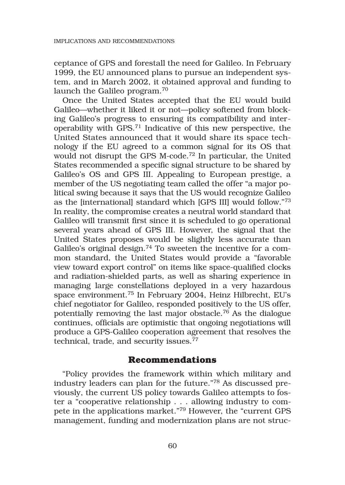ceptance of GPS and forestall the need for Galileo. In February 1999, the EU announced plans to pursue an independent system, and in March 2002, it obtained approval and funding to launch the Galileo program.70

Once the United States accepted that the EU would build Galileo—whether it liked it or not—policy softened from blocking Galileo's progress to ensuring its compatibility and interoperability with GPS.71 Indicative of this new perspective, the United States announced that it would share its space technology if the EU agreed to a common signal for its OS that would not disrupt the GPS M-code.72 In particular, the United States recommended a specific signal structure to be shared by Galileo's OS and GPS III. Appealing to European prestige, a member of the US negotiating team called the offer "a major political swing because it says that the US would recognize Galileo as the [international] standard which [GPS III] would follow."73 In reality, the compromise creates a neutral world standard that Galileo will transmit first since it is scheduled to go operational several years ahead of GPS III. However, the signal that the United States proposes would be slightly less accurate than Galileo's original design.<sup>74</sup> To sweeten the incentive for a common standard, the United States would provide a "favorable view toward export control" on items like space-qualified clocks and radiation-shielded parts, as well as sharing experience in managing large constellations deployed in a very hazardous space environment.75 In February 2004, Heinz Hilbrecht, EU's chief negotiator for Galileo, responded positively to the US offer, potentially removing the last major obstacle.76 As the dialogue continues, officials are optimistic that ongoing negotiations will produce a GPS-Galileo cooperation agreement that resolves the technical, trade, and security issues.<sup>77</sup>

### **Recommendations**

"Policy provides the framework within which military and industry leaders can plan for the future."78 As discussed previously, the current US policy towards Galileo attempts to foster a "cooperative relationship . . . allowing industry to compete in the applications market."79 However, the "current GPS management, funding and modernization plans are not struc-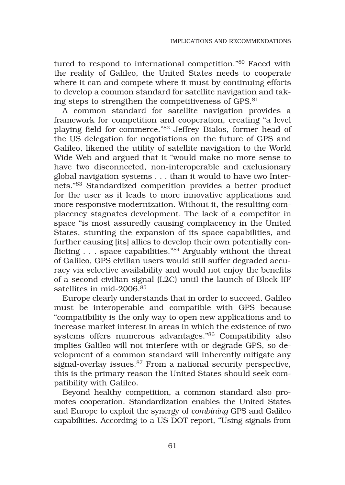tured to respond to international competition."80 Faced with the reality of Galileo, the United States needs to cooperate where it can and compete where it must by continuing efforts to develop a common standard for satellite navigation and taking steps to strengthen the competitiveness of GPS.81

A common standard for satellite navigation provides a framework for competition and cooperation, creating "a level playing field for commerce."82 Jeffrey Bialos, former head of the US delegation for negotiations on the future of GPS and Galileo, likened the utility of satellite navigation to the World Wide Web and argued that it "would make no more sense to have two disconnected, non-interoperable and exclusionary global navigation systems . . . than it would to have two Internets."83 Standardized competition provides a better product for the user as it leads to more innovative applications and more responsive modernization. Without it, the resulting complacency stagnates development. The lack of a competitor in space "is most assuredly causing complacency in the United States, stunting the expansion of its space capabilities, and further causing [its] allies to develop their own potentially conflicting . . . space capabilities."84 Arguably without the threat of Galileo, GPS civilian users would still suffer degraded accuracy via selective availability and would not enjoy the benefits of a second civilian signal (L2C) until the launch of Block IIF satellites in mid-2006.<sup>85</sup>

Europe clearly understands that in order to succeed, Galileo must be interoperable and compatible with GPS because "compatibility is the only way to open new applications and to increase market interest in areas in which the existence of two systems offers numerous advantages."86 Compatibility also implies Galileo will not interfere with or degrade GPS, so development of a common standard will inherently mitigate any signal-overlay issues.<sup>87</sup> From a national security perspective, this is the primary reason the United States should seek compatibility with Galileo.

Beyond healthy competition, a common standard also promotes cooperation. Standardization enables the United States and Europe to exploit the synergy of *combining* GPS and Galileo capabilities. According to a US DOT report, "Using signals from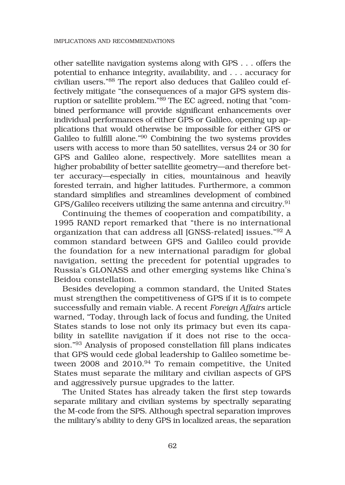other satellite navigation systems along with GPS . . . offers the potential to enhance integrity, availability, and . . . accuracy for civilian users."88 The report also deduces that Galileo could effectively mitigate "the consequences of a major GPS system disruption or satellite problem."89 The EC agreed, noting that "combined performance will provide significant enhancements over individual performances of either GPS or Galileo, opening up applications that would otherwise be impossible for either GPS or Galileo to fulfill alone."90 Combining the two systems provides users with access to more than 50 satellites, versus 24 or 30 for GPS and Galileo alone, respectively. More satellites mean a higher probability of better satellite geometry—and therefore better accuracy—especially in cities, mountainous and heavily forested terrain, and higher latitudes. Furthermore, a common standard simplifies and streamlines development of combined GPS/Galileo receivers utilizing the same antenna and circuitry.<sup>91</sup>

Continuing the themes of cooperation and compatibility, a 1995 RAND report remarked that "there is no international organization that can address all [GNSS-related] issues."92 A common standard between GPS and Galileo could provide the foundation for a new international paradigm for global navigation, setting the precedent for potential upgrades to Russia's GLONASS and other emerging systems like China's Beidou constellation.

Besides developing a common standard, the United States must strengthen the competitiveness of GPS if it is to compete successfully and remain viable. A recent *Foreign Affairs* article warned, "Today, through lack of focus and funding, the United States stands to lose not only its primacy but even its capability in satellite navigation if it does not rise to the occasion."93 Analysis of proposed constellation fill plans indicates that GPS would cede global leadership to Galileo sometime between  $2008$  and  $2010.<sup>94</sup>$  To remain competitive, the United States must separate the military and civilian aspects of GPS and aggressively pursue upgrades to the latter.

The United States has already taken the first step towards separate military and civilian systems by spectrally separating the M-code from the SPS. Although spectral separation improves the military's ability to deny GPS in localized areas, the separation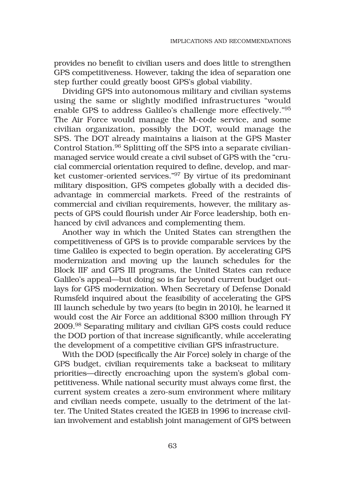provides no benefit to civilian users and does little to strengthen GPS competitiveness. However, taking the idea of separation one step further could greatly boost GPS's global viability.

Dividing GPS into autonomous military and civilian systems using the same or slightly modified infrastructures "would enable GPS to address Galileo's challenge more effectively."95 The Air Force would manage the M-code service, and some civilian organization, possibly the DOT, would manage the SPS. The DOT already maintains a liaison at the GPS Master Control Station.96 Splitting off the SPS into a separate civilianmanaged service would create a civil subset of GPS with the "crucial commercial orientation required to define, develop, and market customer-oriented services."97 By virtue of its predominant military disposition, GPS competes globally with a decided disadvantage in commercial markets. Freed of the restraints of commercial and civilian requirements, however, the military aspects of GPS could flourish under Air Force leadership, both enhanced by civil advances and complementing them.

Another way in which the United States can strengthen the competitiveness of GPS is to provide comparable services by the time Galileo is expected to begin operation. By accelerating GPS modernization and moving up the launch schedules for the Block IIF and GPS III programs, the United States can reduce Galileo's appeal—but doing so is far beyond current budget outlays for GPS modernization. When Secretary of Defense Donald Rumsfeld inquired about the feasibility of accelerating the GPS III launch schedule by two years (to begin in 2010), he learned it would cost the Air Force an additional \$300 million through FY 2009.98 Separating military and civilian GPS costs could reduce the DOD portion of that increase significantly, while accelerating the development of a competitive civilian GPS infrastructure.

With the DOD (specifically the Air Force) solely in charge of the GPS budget, civilian requirements take a backseat to military priorities—directly encroaching upon the system's global competitiveness. While national security must always come first, the current system creates a zero-sum environment where military and civilian needs compete, usually to the detriment of the latter. The United States created the IGEB in 1996 to increase civilian involvement and establish joint management of GPS between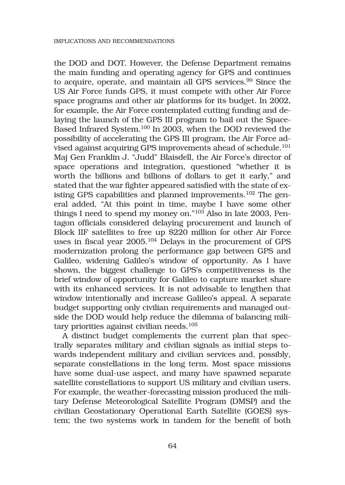### IMPLICATIONS AND RECOMMENDATIONS

the DOD and DOT. However, the Defense Department remains the main funding and operating agency for GPS and continues to acquire, operate, and maintain all GPS services.<sup>99</sup> Since the US Air Force funds GPS, it must compete with other Air Force space programs and other air platforms for its budget. In 2002, for example, the Air Force contemplated cutting funding and delaying the launch of the GPS III program to bail out the Space-Based Infrared System.100 In 2003, when the DOD reviewed the possibility of accelerating the GPS III program, the Air Force advised against acquiring GPS improvements ahead of schedule.<sup>101</sup> Maj Gen Franklin J. "Judd" Blaisdell, the Air Force's director of space operations and integration, questioned "whether it is worth the billions and billions of dollars to get it early," and stated that the war fighter appeared satisfied with the state of existing GPS capabilities and planned improvements.<sup>102</sup> The general added, "At this point in time, maybe I have some other things I need to spend my money on."103 Also in late 2003, Pentagon officials considered delaying procurement and launch of Block IIF satellites to free up \$220 million for other Air Force uses in fiscal year 2005.104 Delays in the procurement of GPS modernization prolong the performance gap between GPS and Galileo, widening Galileo's window of opportunity. As I have shown, the biggest challenge to GPS's competitiveness is the brief window of opportunity for Galileo to capture market share with its enhanced services. It is not advisable to lengthen that window intentionally and increase Galileo's appeal. A separate budget supporting only civilian requirements and managed outside the DOD would help reduce the dilemma of balancing military priorities against civilian needs.<sup>105</sup>

A distinct budget complements the current plan that spectrally separates military and civilian signals as initial steps towards independent military and civilian services and, possibly, separate constellations in the long term. Most space missions have some dual-use aspect, and many have spawned separate satellite constellations to support US military and civilian users. For example, the weather-forecasting mission produced the military Defense Meteorological Satellite Program (DMSP) and the civilian Geostationary Operational Earth Satellite (GOES) system; the two systems work in tandem for the benefit of both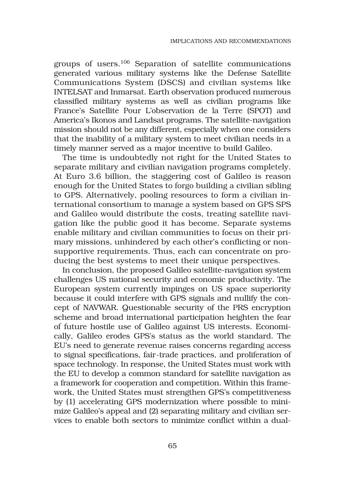groups of users.106 Separation of satellite communications generated various military systems like the Defense Satellite Communications System (DSCS) and civilian systems like INTELSAT and Inmarsat. Earth observation produced numerous classified military systems as well as civilian programs like France's Satellite Pour L'observation de la Terre (SPOT) and America's Ikonos and Landsat programs. The satellite-navigation mission should not be any different, especially when one considers that the inability of a military system to meet civilian needs in a timely manner served as a major incentive to build Galileo.

The time is undoubtedly not right for the United States to separate military and civilian navigation programs completely. At Euro 3.6 billion, the staggering cost of Galileo is reason enough for the United States to forgo building a civilian sibling to GPS. Alternatively, pooling resources to form a civilian international consortium to manage a system based on GPS SPS and Galileo would distribute the costs, treating satellite navigation like the public good it has become. Separate systems enable military and civilian communities to focus on their primary missions, unhindered by each other's conflicting or nonsupportive requirements. Thus, each can concentrate on producing the best systems to meet their unique perspectives.

In conclusion, the proposed Galileo satellite-navigation system challenges US national security and economic productivity. The European system currently impinges on US space superiority because it could interfere with GPS signals and nullify the concept of NAVWAR. Questionable security of the PRS encryption scheme and broad international participation heighten the fear of future hostile use of Galileo against US interests. Economically, Galileo erodes GPS's status as the world standard. The EU's need to generate revenue raises concerns regarding access to signal specifications, fair-trade practices, and proliferation of space technology. In response, the United States must work with the EU to develop a common standard for satellite navigation as a framework for cooperation and competition. Within this framework, the United States must strengthen GPS's competitiveness by (1) accelerating GPS modernization where possible to minimize Galileo's appeal and (2) separating military and civilian services to enable both sectors to minimize conflict within a dual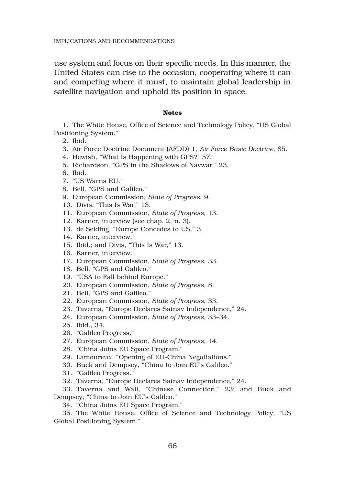use system and focus on their specific needs. In this manner, the United States can rise to the occasion, cooperating where it can and competing where it must, to maintain global leadership in satellite navigation and uphold its position in space.

#### **Notes**

1. The White House, Office of Science and Technology Policy, "US Global Positioning System."

- 2. Ibid.
- 3. Air Force Doctrine Document (AFDD) 1, *Air Force Basic Doctrine*, 85.
- 4. Hewish, "What Is Happening with GPS?" 57.
- 5. Richardson, "GPS in the Shadows of Navwar," 23.
- 6. Ibid.
- 7. "US Warns EU."
- 8. Bell, "GPS and Galileo."
- 9. European Commission, *State of Progress*, 9.
- 10. Divis, "This Is War," 13.
- 11. European Commission, *State of Progress*, 13.
- 12. Karner, interview (see chap. 2, n. 3).
- 13. de Selding, "Europe Concedes to US," 3.
- 14. Karner, interview.
- 15. Ibid.; and Divis, "This Is War," 13.
- 16. Karner, interview.
- 17. European Commission, *State of Progress*, 33.
- 18. Bell, "GPS and Galileo."
- 19. "USA to Fall behind Europe."
- 20. European Commission, *State of Progress*, 8.
- 21. Bell, "GPS and Galileo."
- 22. European Commission, *State of Progress*, 33.
- 23. Taverna, "Europe Declares Satnav Independence," 24.
- 24. European Commission, *State of Progress*, 33–34.
- 25. Ibid., 34.
- 26. "Galileo Progress."
- 27. European Commission, *State of Progress*, 14.
- 28. "China Joins EU Space Program."
- 29. Lamoureux, "Opening of EU-China Negotiations."
- 30. Buck and Dempsey, "China to Join EU's Galileo."
- 31. "Galileo Progress."
- 32. Taverna, "Europe Declares Satnav Independence," 24.

33. Taverna and Wall, "Chinese Connection," 23; and Buck and Dempsey, "China to Join EU's Galileo."

34. "China Joins EU Space Program."

35. The White House, Office of Science and Technology Policy, "US Global Positioning System."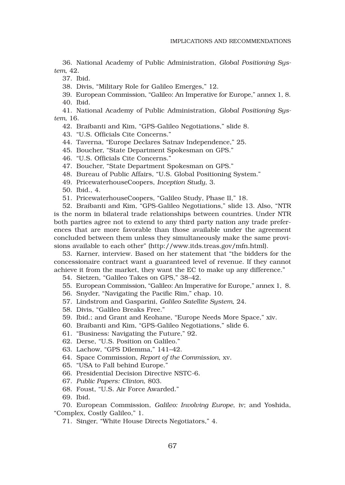36. National Academy of Public Administration, *Global Positioning System*, 42.

37. Ibid.

38. Divis, "Military Role for Galileo Emerges," 12.

39. European Commission, "Galileo: An Imperative for Europe," annex 1, 8. 40. Ibid.

41. National Academy of Public Administration, *Global Positioning System*, 16.

42. Braibanti and Kim, "GPS-Galileo Negotiations," slide 8.

43. "U.S. Officials Cite Concerns."

44. Taverna, "Europe Declares Satnav Independence," 25.

45. Boucher, "State Department Spokesman on GPS."

46. "U.S. Officials Cite Concerns."

47. Boucher, "State Department Spokesman on GPS."

48. Bureau of Public Affairs, "U.S. Global Positioning System."

49. PricewaterhouseCoopers, *Inception Study*, 3.

50. Ibid., 4.

51. PricewaterhouseCoopers, "Galileo Study, Phase II," 18.

52. Braibanti and Kim, "GPS-Galileo Negotiations," slide 13. Also, "NTR is the norm in bilateral trade relationships between countries. Under NTR both parties agree not to extend to any third party nation any trade preferences that are more favorable than those available under the agreement concluded between them unless they simultaneously make the same provisions available to each other" (http://www.itds.treas.gov/mfn.html).

53. Karner, interview. Based on her statement that "the bidders for the concessionaire contract want a guaranteed level of revenue. If they cannot achieve it from the market, they want the EC to make up any difference."

54. Sietzen, "Galileo Takes on GPS," 38–42.

55. European Commission, "Galileo: An Imperative for Europe," annex 1, 8.

- 56. Snyder, "Navigating the Pacific Rim," chap. 10.
- 57. Lindstrom and Gasparini, *Galileo Satellite System*, 24.
- 58. Divis, "Galileo Breaks Free."
- 59. Ibid.; and Grant and Keohane, "Europe Needs More Space," xiv.
- 60. Braibanti and Kim, "GPS-Galileo Negotiations," slide 6.
- 61. "Business: Navigating the Future," 92.
- 62. Derse, "U.S. Position on Galileo."
- 63. Lachow, "GPS Dilemma," 141–42.
- 64. Space Commission, *Report of the Commission*, xv.
- 65. "USA to Fall behind Europe."
- 66. Presidential Decision Directive NSTC-6.
- 67. *Public Papers: Clinton*, 803.
- 68. Foust, "U.S. Air Force Awarded."

69. Ibid.

70. European Commission, *Galileo: Involving Europe*, iv; and Yoshida, "Complex, Costly Galileo," 1.

71. Singer, "White House Directs Negotiators," 4.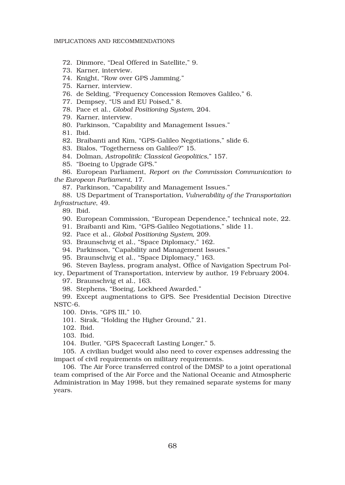### IMPLICATIONS AND RECOMMENDATIONS

- 72. Dinmore, "Deal Offered in Satellite," 9.
- 73. Karner, interview.
- 74. Knight, "Row over GPS Jamming."
- 75. Karner, interview.
- 76. de Selding, "Frequency Concession Removes Galileo," 6.
- 77. Dempsey, "US and EU Poised," 8.
- 78. Pace et al., *Global Positioning System*, 204.
- 79. Karner, interview.
- 80. Parkinson, "Capability and Management Issues."

81. Ibid.

- 82. Braibanti and Kim, "GPS-Galileo Negotiations," slide 6.
- 83. Bialos, "Togetherness on Galileo?" 15.
- 84. Dolman, *Astropolitik: Classical Geopolitics*," 157.
- 85. "Boeing to Upgrade GPS."

86. European Parliament, *Report on the Commission Communication to the European Parliament*, 17.

87. Parkinson, "Capability and Management Issues."

88. US Department of Transportation, *Vulnerability of the Transportation Infrastructure*, 49.

89. Ibid.

- 90. European Commission, "European Dependence," technical note, 22.
- 91. Braibanti and Kim, "GPS-Galileo Negotiations," slide 11.
- 92. Pace et al., *Global Positioning System*, 209.
- 93. Braunschvig et al., "Space Diplomacy," 162.
- 94. Parkinson, "Capability and Management Issues."
- 95. Braunschvig et al., "Space Diplomacy," 163.
- 96. Steven Bayless, program analyst, Office of Navigation Spectrum Pol-
- icy, Department of Transportation, interview by author, 19 February 2004.

97. Braunschvig et al., 163.

98. Stephens, "Boeing, Lockheed Awarded."

99. Except augmentations to GPS. See Presidential Decision Directive NSTC-6.

100. Divis, "GPS III," 10.

101. Sirak, "Holding the Higher Ground," 21.

102. Ibid.

103. Ibid.

104. Butler, "GPS Spacecraft Lasting Longer," 5.

105. A civilian budget would also need to cover expenses addressing the impact of civil requirements on military requirements.

106. The Air Force transferred control of the DMSP to a joint operational team comprised of the Air Force and the National Oceanic and Atmospheric Administration in May 1998, but they remained separate systems for many years.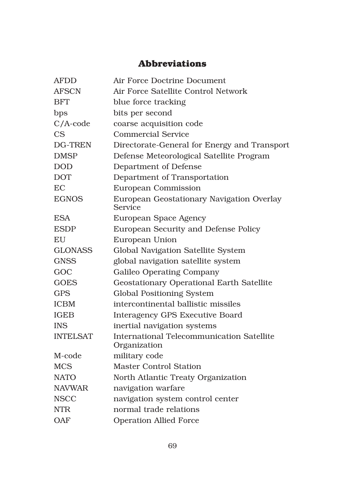## **Abbreviations**

| <b>AFDD</b>     | Air Force Doctrine Document                                      |
|-----------------|------------------------------------------------------------------|
| <b>AFSCN</b>    | Air Force Satellite Control Network                              |
| <b>BFT</b>      | blue force tracking                                              |
| bps             | bits per second                                                  |
| $C/A$ -code     | coarse acquisition code                                          |
| CS              | <b>Commercial Service</b>                                        |
| DG-TREN         | Directorate-General for Energy and Transport                     |
| <b>DMSP</b>     | Defense Meteorological Satellite Program                         |
| <b>DOD</b>      | Department of Defense                                            |
| <b>DOT</b>      | Department of Transportation                                     |
| EC              | <b>European Commission</b>                                       |
| <b>EGNOS</b>    | European Geostationary Navigation Overlay<br>Service             |
| <b>ESA</b>      | European Space Agency                                            |
| <b>ESDP</b>     | European Security and Defense Policy                             |
| EU              | European Union                                                   |
| <b>GLONASS</b>  | Global Navigation Satellite System                               |
| <b>GNSS</b>     | global navigation satellite system                               |
| GOC             | Galileo Operating Company                                        |
| <b>GOES</b>     | <b>Geostationary Operational Earth Satellite</b>                 |
| <b>GPS</b>      | <b>Global Positioning System</b>                                 |
| <b>ICBM</b>     | intercontinental ballistic missiles                              |
| <b>IGEB</b>     | <b>Interagency GPS Executive Board</b>                           |
| <b>INS</b>      | inertial navigation systems                                      |
| <b>INTELSAT</b> | <b>International Telecommunication Satellite</b><br>Organization |
| M-code          | military code                                                    |
| <b>MCS</b>      | <b>Master Control Station</b>                                    |
| <b>NATO</b>     | North Atlantic Treaty Organization                               |
| <b>NAVWAR</b>   | navigation warfare                                               |
| <b>NSCC</b>     | navigation system control center                                 |
| <b>NTR</b>      | normal trade relations                                           |
| OAF             | <b>Operation Allied Force</b>                                    |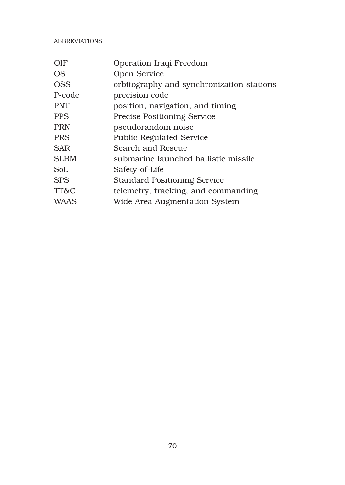### ABBREVIATIONS

| <b>OIF</b>  | Operation Iraqi Freedom                   |
|-------------|-------------------------------------------|
| <b>OS</b>   | <b>Open Service</b>                       |
| <b>OSS</b>  | orbitography and synchronization stations |
| P-code      | precision code                            |
| <b>PNT</b>  | position, navigation, and timing          |
| <b>PPS</b>  | <b>Precise Positioning Service</b>        |
| <b>PRN</b>  | pseudorandom noise                        |
| <b>PRS</b>  | <b>Public Regulated Service</b>           |
| <b>SAR</b>  | Search and Rescue                         |
| <b>SLBM</b> | submarine launched ballistic missile      |
| SoL         | Safety-of-Life                            |
| <b>SPS</b>  | <b>Standard Positioning Service</b>       |
| TT&C        | telemetry, tracking, and commanding       |
| <b>WAAS</b> | Wide Area Augmentation System             |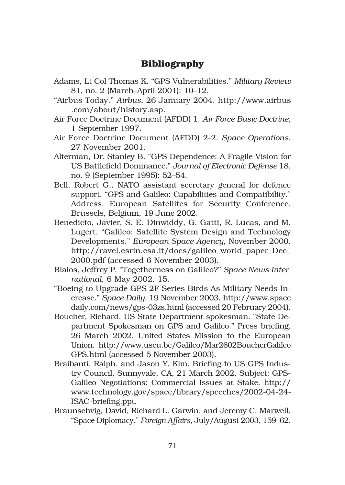### **Bibliography**

- Adams, Lt Col Thomas K. "GPS Vulnerabilities." *Military Review* 81, no. 2 (March–April 2001): 10–12.
- "Airbus Today." *Airbus*, 26 January 2004. http://www.airbus .com/about/history.asp.
- Air Force Doctrine Document (AFDD) 1. *Air Force Basic Doctrine*, 1 September 1997.
- Air Force Doctrine Document (AFDD) 2-2. *Space Operations*, 27 November 2001.
- Alterman, Dr. Stanley B. "GPS Dependence: A Fragile Vision for US Battlefield Dominance." *Journal of Electronic Defense* 18, no. 9 (September 1995): 52–54.
- Bell, Robert G., NATO assistant secretary general for defence support. "GPS and Galileo: Capabilities and Compatibility." Address. European Satellites for Security Conference, Brussels, Belgium, 19 June 2002.
- Benedicto, Javier, S. E. Dinwiddy, G. Gatti, R. Lucas, and M. Lugert. "Galileo: Satellite System Design and Technology Developments." *European Space Agency*, November 2000. http://ravel.esrin.esa.it/docs/galileo\_world\_paper\_Dec\_ 2000.pdf (accessed 6 November 2003).
- Bialos, Jeffrey P. "Togetherness on Galileo?" *Space News International*, 6 May 2002, 15.
- "Boeing to Upgrade GPS 2F Series Birds As Military Needs Increase." *Space Daily*, 19 November 2003. http://www.space daily.com/news/gps-03zs.html (accessed 20 February 2004).
- Boucher, Richard, US State Department spokesman. "State Department Spokesman on GPS and Galileo." Press briefing, 26 March 2002. United States Mission to the European Union. http://www.useu.be/Galileo/Mar2602BoucherGalileo GPS.html (accessed 5 November 2003).
- Braibanti, Ralph, and Jason Y. Kim. Briefing to US GPS Industry Council, Sunnyvale, CA, 21 March 2002. Subject: GPS-Galileo Negotiations: Commercial Issues at Stake. http:// www.technology.gov/space/library/speeches/2002-04-24- ISAC-briefing.ppt.
- Braunschvig, David, Richard L. Garwin, and Jeremy C. Marwell. "Space Diplomacy." *Foreign Affairs*, July/August 2003, 159–62.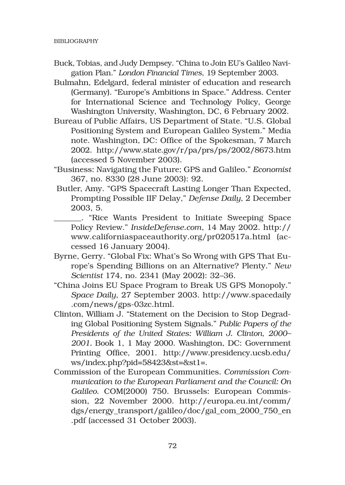- Buck, Tobias, and Judy Dempsey. "China to Join EU's Galileo Navigation Plan." *London Financial Times*, 19 September 2003.
- Bulmahn, Edelgard, federal minister of education and research (Germany). "Europe's Ambitions in Space." Address. Center for International Science and Technology Policy, George Washington University, Washington, DC, 6 February 2002.
- Bureau of Public Affairs, US Department of State. "U.S. Global Positioning System and European Galileo System." Media note. Washington, DC: Office of the Spokesman, 7 March 2002. http://www.state.gov/r/pa/prs/ps/2002/8673.htm (accessed 5 November 2003).
- "Business: Navigating the Future; GPS and Galileo." *Economist* 367, no. 8330 (28 June 2003): 92.
- Butler, Amy. "GPS Spacecraft Lasting Longer Than Expected, Prompting Possible IIF Delay," *Defense Daily*, 2 December 2003, 5.
- \_\_\_\_\_\_\_. "Rice Wants President to Initiate Sweeping Space Policy Review." *InsideDefense.com*, 14 May 2002. http:// www.californiaspaceauthority.org/pr020517a.html (accessed 16 January 2004).
- Byrne, Gerry. "Global Fix: What's So Wrong with GPS That Europe's Spending Billions on an Alternative? Plenty." *New Scientist* 174, no. 2341 (May 2002): 32–36.
- "China Joins EU Space Program to Break US GPS Monopoly." *Space Daily*, 27 September 2003. http://www.spacedaily .com/news/gps-03zc.html.
- Clinton, William J. "Statement on the Decision to Stop Degrading Global Positioning System Signals." *Public Papers of the Presidents of the United States: William J. Clinton, 2000– 2001.* Book 1, 1 May 2000. Washington, DC: Government Printing Office, 2001. http://www.presidency.ucsb.edu/ ws/index.php?pid=58423&st=&st1=.
- Commission of the European Communities. *Commission Communication to the European Parliament and the Council: On Galileo*. COM(2000) 750. Brussels: European Commission, 22 November 2000. http://europa.eu.int/comm/ dgs/energy\_transport/galileo/doc/gal\_com\_2000\_750\_en .pdf (accessed 31 October 2003).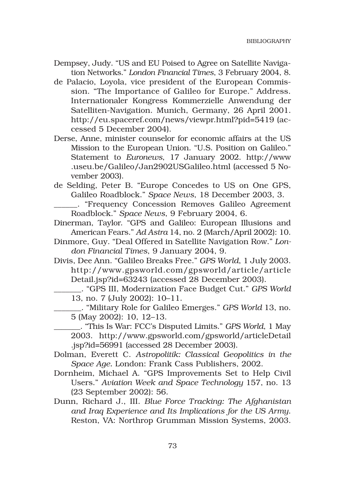- Dempsey, Judy. "US and EU Poised to Agree on Satellite Navigation Networks." *London Financial Times*, 3 February 2004, 8.
- de Palacio, Loyola, vice president of the European Commission. "The Importance of Galileo for Europe." Address. Internationaler Kongress Kommerzielle Anwendung der Satelliten-Navigation. Munich, Germany, 26 April 2001. http://eu.spaceref.com/news/viewpr.html?pid=5419 (accessed 5 December 2004).
- Derse, Anne, minister counselor for economic affairs at the US Mission to the European Union. "U.S. Position on Galileo." Statement to *Euronews*, 17 January 2002. http://www .useu.be/Galileo/Jan2902USGalileo.html (accessed 5 November 2003).
- de Selding, Peter B. "Europe Concedes to US on One GPS, Galileo Roadblock." *Space News*, 18 December 2003, 3.

\_\_\_\_\_\_. "Frequency Concession Removes Galileo Agreement Roadblock." *Space News*, 9 February 2004, 6.

- Dinerman, Taylor. "GPS and Galileo: European Illusions and American Fears." *Ad Astra* 14, no. 2 (March/April 2002): 10.
- Dinmore, Guy. "Deal Offered in Satellite Navigation Row." *London Financial Times*, 9 January 2004, 9.

Divis, Dee Ann. "Galileo Breaks Free." *GPS World*, 1 July 2003. http://www.gpsworld.com/gpsworld/article/article Detail.jsp?id=63243 (accessed 28 December 2003).

\_\_\_\_\_\_\_. "GPS III, Modernization Face Budget Cut." *GPS World* 13, no. 7 (July 2002): 10–11.

\_\_\_\_\_\_\_. "Military Role for Galileo Emerges." *GPS World* 13, no. 5 (May 2002): 10, 12–13.

\_\_\_\_\_\_\_. "This Is War: FCC's Disputed Limits." *GPS World*, 1 May 2003. http://www.gpsworld.com/gpsworld/articleDetail .jsp?id=56991 (accessed 28 December 2003).

- Dolman, Everett C. *Astropolitik: Classical Geopolitics in the Space Age.* London: Frank Cass Publishers, 2002.
- Dornheim, Michael A. "GPS Improvements Set to Help Civil Users." *Aviation Week and Space Technology* 157, no. 13 (23 September 2002): 56.
- Dunn, Richard J., III. *Blue Force Tracking: The Afghanistan and Iraq Experience and Its Implications for the US Army*. Reston, VA: Northrop Grumman Mission Systems, 2003.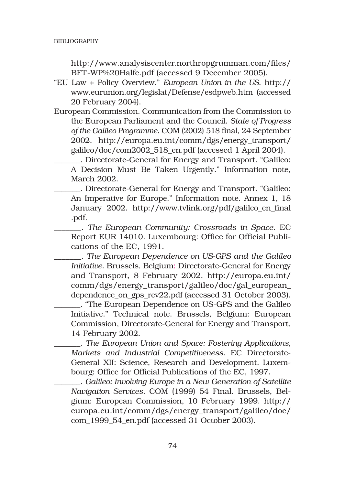http://www.analysiscenter.northropgrumman.com/files/ BFT-WP%20Halfc.pdf (accessed 9 December 2005).

- "EU Law + Policy Overview." *European Union in the US*. http:// www.eurunion.org/legislat/Defense/esdpweb.htm (accessed 20 February 2004).
- European Commission. Communication from the Commission to the European Parliament and the Council. *State of Progress of the Galileo Programme.* COM (2002) 518 final, 24 September 2002. http://europa.eu.int/comm/dgs/energy\_transport/ galileo/doc/com2002\_518\_en.pdf (accessed 1 April 2004).

\_\_\_\_\_\_\_. Directorate-General for Energy and Transport. "Galileo: A Decision Must Be Taken Urgently." Information note, March 2002.

\_\_\_\_\_\_\_. Directorate-General for Energy and Transport. "Galileo: An Imperative for Europe." Information note. Annex 1, 18 January 2002. http://www.tvlink.org/pdf/galileo\_en\_final .pdf.

\_\_\_\_\_\_\_. *The European Community: Crossroads in Space*. EC Report EUR 14010. Luxembourg: Office for Official Publications of the EC, 1991.

\_\_\_\_\_\_\_. *The European Dependence on US-GPS and the Galileo Initiative*. Brussels, Belgium: Directorate-General for Energy and Transport, 8 February 2002. http://europa.eu.int/ comm/dgs/energy\_transport/galileo/doc/gal\_european\_ dependence\_on\_gps\_rev22.pdf (accessed 31 October 2003).

\_\_\_\_\_\_\_. "The European Dependence on US-GPS and the Galileo Initiative." Technical note. Brussels, Belgium: European Commission, Directorate-General for Energy and Transport, 14 February 2002.

\_\_\_\_\_\_\_. *The European Union and Space: Fostering Applications, Markets and Industrial Competitiveness*. EC Directorate-General XII: Science, Research and Development. Luxembourg: Office for Official Publications of the EC, 1997.

\_\_\_\_\_\_\_. *Galileo: Involving Europe in a New Generation of Satellite Navigation Services.* COM (1999) 54 Final. Brussels, Belgium: European Commission, 10 February 1999. http:// europa.eu.int/comm/dgs/energy\_transport/galileo/doc/ com\_1999\_54\_en.pdf (accessed 31 October 2003).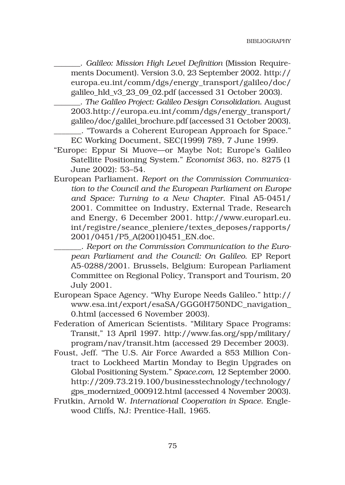\_\_\_\_\_\_\_. *Galileo: Mission High Level Definition* (Mission Requirements Document). Version 3.0, 23 September 2002. http:// europa.eu.int/comm/dgs/energy\_transport/galileo/doc/ galileo\_hld\_v3\_23\_09\_02.pdf (accessed 31 October 2003).

\_\_\_\_\_\_\_. *The Galileo Project: Galileo Design Consolidation*. August 2003.http://europa.eu.int/comm/dgs/energy\_transport/ galileo/doc/galilei\_brochure.pdf (accessed 31 October 2003). \_\_\_\_\_\_\_. "Towards a Coherent European Approach for Space." EC Working Document, SEC(1999) 789, 7 June 1999.

- "Europe: Eppur Si Muove—or Maybe Not; Europe's Galileo Satellite Positioning System." *Economist* 363, no. 8275 (1 June 2002): 53–54.
- European Parliament. *Report on the Commission Communication to the Council and the European Parliament on Europe and Space: Turning to a New Chapter*. Final A5-0451/ 2001. Committee on Industry, External Trade, Research and Energy, 6 December 2001. http://www.europarl.eu. int/registre/seance\_pleniere/textes\_deposes/rapports/ 2001/0451/P5\_A(2001)0451\_EN.doc.

\_\_\_\_\_\_\_. *Report on the Commission Communication to the European Parliament and the Council: On Galileo*. EP Report A5-0288/2001. Brussels, Belgium: European Parliament Committee on Regional Policy, Transport and Tourism, 20 July 2001.

- European Space Agency. "Why Europe Needs Galileo." http:// www.esa.int/export/esaSA/GGG0H750NDC\_navigation\_ 0.html (accessed 6 November 2003).
- Federation of American Scientists. "Military Space Programs: Transit," 13 April 1997. http://www.fas.org/spp/military/ program/nav/transit.htm (accessed 29 December 2003).
- Foust, Jeff. "The U.S. Air Force Awarded a \$53 Million Contract to Lockheed Martin Monday to Begin Upgrades on Global Positioning System." *Space.com*, 12 September 2000. http://209.73.219.100/businesstechnology/technology/ gps\_modernized\_000912.html (accessed 4 November 2003).
- Frutkin, Arnold W. *International Cooperation in Space*. Englewood Cliffs, NJ: Prentice-Hall, 1965.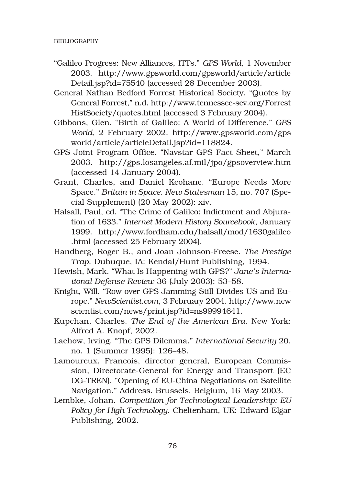- "Galileo Progress: New Alliances, ITTs." *GPS World*, 1 November 2003. http://www.gpsworld.com/gpsworld/article/article Detail.jsp?id=75540 (accessed 28 December 2003).
- General Nathan Bedford Forrest Historical Society. "Quotes by General Forrest," n.d. http://www.tennessee-scv.org/Forrest HistSociety/quotes.html (accessed 3 February 2004).
- Gibbons, Glen. "Birth of Galileo: A World of Difference." *GPS World*, 2 February 2002. http://www.gpsworld.com/gps world/article/articleDetail.jsp?id=118824.
- GPS Joint Program Office. "Navstar GPS Fact Sheet," March 2003. http://gps.losangeles.af.mil/jpo/gpsoverview.htm (accessed 14 January 2004).
- Grant, Charles, and Daniel Keohane. "Europe Needs More Space." *Britain in Space*. *New Statesman* 15, no. 707 (Special Supplement) (20 May 2002): xiv.
- Halsall, Paul, ed. "The Crime of Galileo: Indictment and Abjuration of 1633." *Internet Modern History Sourcebook*, January 1999. http://www.fordham.edu/halsall/mod/1630galileo .html (accessed 25 February 2004).
- Handberg, Roger B., and Joan Johnson-Freese. *The Prestige Trap*. Dubuque, IA: Kendal/Hunt Publishing, 1994.
- Hewish, Mark. "What Is Happening with GPS?" *Jane's International Defense Review* 36 (July 2003): 53–58.
- Knight, Will. "Row over GPS Jamming Still Divides US and Europe." *NewScientist.com*, 3 February 2004. http://www.new scientist.com/news/print.jsp?id=ns99994641.
- Kupchan, Charles. *The End of the American Era*. New York: Alfred A. Knopf, 2002.
- Lachow, Irving. "The GPS Dilemma." *International Security* 20, no. 1 (Summer 1995): 126–48.
- Lamoureux, Francois, director general, European Commission, Directorate-General for Energy and Transport (EC DG-TREN). "Opening of EU-China Negotiations on Satellite Navigation." Address. Brussels, Belgium, 16 May 2003.
- Lembke, Johan. *Competition for Technological Leadership: EU Policy for High Technology*. Cheltenham, UK: Edward Elgar Publishing, 2002.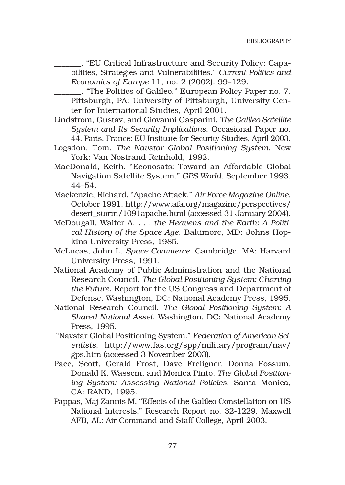\_\_\_\_\_\_\_. "EU Critical Infrastructure and Security Policy: Capabilities, Strategies and Vulnerabilities." *Current Politics and Economics of Europe* 11, no. 2 (2002): 99–129.

\_\_\_\_\_\_\_. "The Politics of Galileo." European Policy Paper no. 7. Pittsburgh, PA: University of Pittsburgh, University Center for International Studies, April 2001.

- Lindstrom, Gustav, and Giovanni Gasparini. *The Galileo Satellite System and Its Security Implications.* Occasional Paper no. 44. Paris, France: EU Institute for Security Studies, April 2003.
- Logsdon, Tom. *The Navstar Global Positioning System*. New York: Van Nostrand Reinhold, 1992.
- MacDonald, Keith. "Econosats: Toward an Affordable Global Navigation Satellite System." *GPS World*, September 1993, 44–54.
- Mackenzie, Richard. "Apache Attack." *Air Force Magazine Online*, October 1991. http://www.afa.org/magazine/perspectives/ desert\_storm/1091apache.html (accessed 31 January 2004).
- McDougall, Walter A. *. . . the Heavens and the Earth: A Political History of the Space Age*. Baltimore, MD: Johns Hopkins University Press, 1985.
- McLucas, John L. *Space Commerce*. Cambridge, MA: Harvard University Press, 1991.
- National Academy of Public Administration and the National Research Council. *The Global Positioning System: Charting the Future*. Report for the US Congress and Department of Defense. Washington, DC: National Academy Press, 1995.
- National Research Council. *The Global Positioning System: A Shared National Asset*. Washington, DC: National Academy Press, 1995.
- "Navstar Global Positioning System." *Federation of American Scientists*. http://www.fas.org/spp/military/program/nav/ gps.htm (accessed 3 November 2003).
- Pace, Scott, Gerald Frost, Dave Freligner, Donna Fossum, Donald K. Wassem, and Monica Pinto. *The Global Positioning System: Assessing National Policies*. Santa Monica, CA: RAND, 1995.
- Pappas, Maj Zannis M. "Effects of the Galileo Constellation on US National Interests." Research Report no. 32-1229. Maxwell AFB, AL: Air Command and Staff College, April 2003.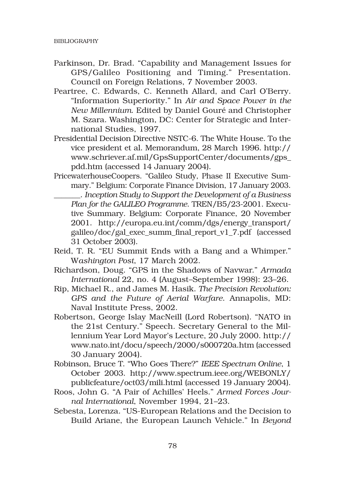- Parkinson, Dr. Brad. "Capability and Management Issues for GPS/Galileo Positioning and Timing." Presentation. Council on Foreign Relations, 7 November 2003.
- Peartree, C. Edwards, C. Kenneth Allard, and Carl O'Berry. "Information Superiority." In *Air and Space Power in the New Millennium*. Edited by Daniel Gouré and Christopher M. Szara. Washington, DC: Center for Strategic and International Studies, 1997.
- Presidential Decision Directive NSTC-6. The White House. To the vice president et al. Memorandum, 28 March 1996. http:// www.schriever.af.mil/GpsSupportCenter/documents/gps\_ pdd.htm (accessed 14 January 2004).
- PricewaterhouseCoopers. "Galileo Study, Phase II Executive Summary." Belgium: Corporate Finance Division, 17 January 2003.
- \_\_\_\_\_\_\_. *Inception Study to Support the Development of a Business Plan for the GALILEO Programme*. TREN/B5/23-2001. Executive Summary. Belgium: Corporate Finance, 20 November 2001. http://europa.eu.int/comm/dgs/energy\_transport/ galileo/doc/gal\_exec\_summ\_final\_report\_v1\_7.pdf (accessed 31 October 2003).
- Reid, T. R. "EU Summit Ends with a Bang and a Whimper." W*ashington Post*, 17 March 2002.
- Richardson, Doug. "GPS in the Shadows of Navwar." *Armada International* 22, no. 4 (August–September 1998): 23–26.
- Rip, Michael R., and James M. Hasik. *The Precision Revolution: GPS and the Future of Aerial Warfare*. Annapolis, MD: Naval Institute Press, 2002.
- Robertson, George Islay MacNeill (Lord Robertson). "NATO in the 21st Century." Speech. Secretary General to the Millennium Year Lord Mayor's Lecture, 20 July 2000. http:// www.nato.int/docu/speech/2000/s000720a.htm (accessed 30 January 2004).
- Robinson, Bruce T. "Who Goes There?" *IEEE Spectrum Online*, 1 October 2003. http://www.spectrum.ieee.org/WEBONLY/ publicfeature/oct03/mili.html (accessed 19 January 2004).
- Roos, John G. "A Pair of Achilles' Heels." *Armed Forces Journal International*, November 1994, 21–23.
- Sebesta, Lorenza. "US-European Relations and the Decision to Build Ariane, the European Launch Vehicle." In *Beyond*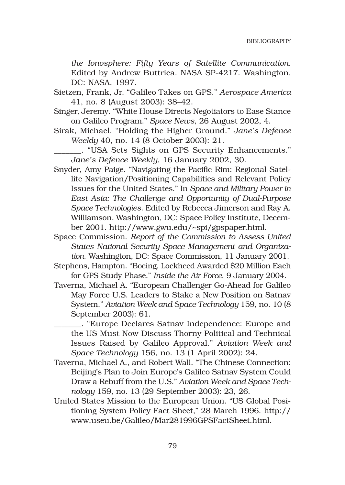*the Ionosphere: Fifty Years of Satellite Communication*. Edited by Andrew Buttrica. NASA SP-4217. Washington, DC: NASA, 1997.

- Sietzen, Frank, Jr. "Galileo Takes on GPS." *Aerospace America* 41, no. 8 (August 2003): 38–42.
- Singer, Jeremy. "White House Directs Negotiators to Ease Stance on Galileo Program." *Space News*, 26 August 2002, 4.
- Sirak, Michael. "Holding the Higher Ground." *Jane's Defence Weekly* 40, no. 14 (8 October 2003): 21.
- \_\_\_\_\_\_\_. "USA Sets Sights on GPS Security Enhancements." *Jane's Defence Weekly*, 16 January 2002, 30.
- Snyder, Amy Paige. "Navigating the Pacific Rim: Regional Satellite Navigation/Positioning Capabilities and Relevant Policy Issues for the United States." In *Space and Military Power in East Asia: The Challenge and Opportunity of Dual-Purpose Space Technologies*. Edited by Rebecca Jimerson and Ray A. Williamson. Washington, DC: Space Policy Institute, December 2001. http://www.gwu.edu/~spi/gpspaper.html.
- Space Commission. *Report of the Commission to Assess United States National Security Space Management and Organization*. Washington, DC: Space Commission, 11 January 2001.
- Stephens, Hampton. "Boeing, Lockheed Awarded \$20 Million Each for GPS Study Phase." *Inside the Air Force*, 9 January 2004.
- Taverna, Michael A. "European Challenger Go-Ahead for Galileo May Force U.S. Leaders to Stake a New Position on Satnav System." *Aviation Week and Space Technology* 159, no. 10 (8 September 2003): 61.

\_\_\_\_\_\_\_. "Europe Declares Satnav Independence: Europe and the US Must Now Discuss Thorny Political and Technical Issues Raised by Galileo Approval." *Aviation Week and Space Technology* 156, no. 13 (1 April 2002): 24.

- Taverna, Michael A., and Robert Wall. "The Chinese Connection: Beijing's Plan to Join Europe's Galileo Satnav System Could Draw a Rebuff from the U.S." *Aviation Week and Space Technology* 159, no. 13 (29 September 2003): 23, 26.
- United States Mission to the European Union. "US Global Positioning System Policy Fact Sheet," 28 March 1996. http:// www.useu.be/Galileo/Mar281996GPSFactSheet.html.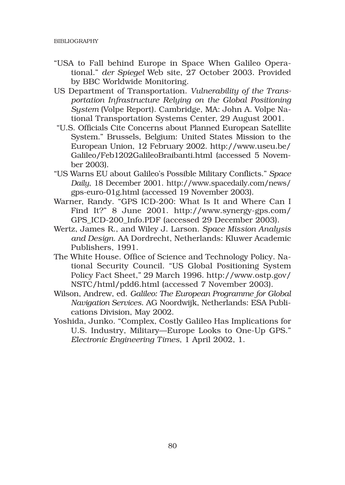- "USA to Fall behind Europe in Space When Galileo Operational." *der Spiegel* Web site, 27 October 2003. Provided by BBC Worldwide Monitoring.
- US Department of Transportation. *Vulnerability of the Transportation Infrastructure Relying on the Global Positioning System* (Volpe Report). Cambridge, MA: John A. Volpe National Transportation Systems Center, 29 August 2001.
- "U.S. Officials Cite Concerns about Planned European Satellite System." Brussels, Belgium: United States Mission to the European Union, 12 February 2002. http://www.useu.be/ Galileo/Feb1202GalileoBraibanti.html (accessed 5 November 2003).
- "US Warns EU about Galileo's Possible Military Conflicts." *Space Daily*, 18 December 2001. http://www.spacedaily.com/news/ gps-euro-01g.html (accessed 19 November 2003).
- Warner, Randy. "GPS ICD-200: What Is It and Where Can I Find It?" 8 June 2001. http://www.synergy-gps.com/ GPS\_ICD-200\_Info.PDF (accessed 29 December 2003).
- Wertz, James R., and Wiley J. Larson. *Space Mission Analysis and Design*. AA Dordrecht, Netherlands: Kluwer Academic Publishers, 1991.
- The White House. Office of Science and Technology Policy. National Security Council. "US Global Positioning System Policy Fact Sheet," 29 March 1996. http://www.ostp.gov/ NSTC/html/pdd6.html (accessed 7 November 2003).
- Wilson, Andrew, ed. *Galileo: The European Programme for Global Navigation Services*. AG Noordwijk, Netherlands: ESA Publications Division, May 2002.
- Yoshida, Junko. "Complex, Costly Galileo Has Implications for U.S. Industry, Military—Europe Looks to One-Up GPS." *Electronic Engineering Times*, 1 April 2002, 1.